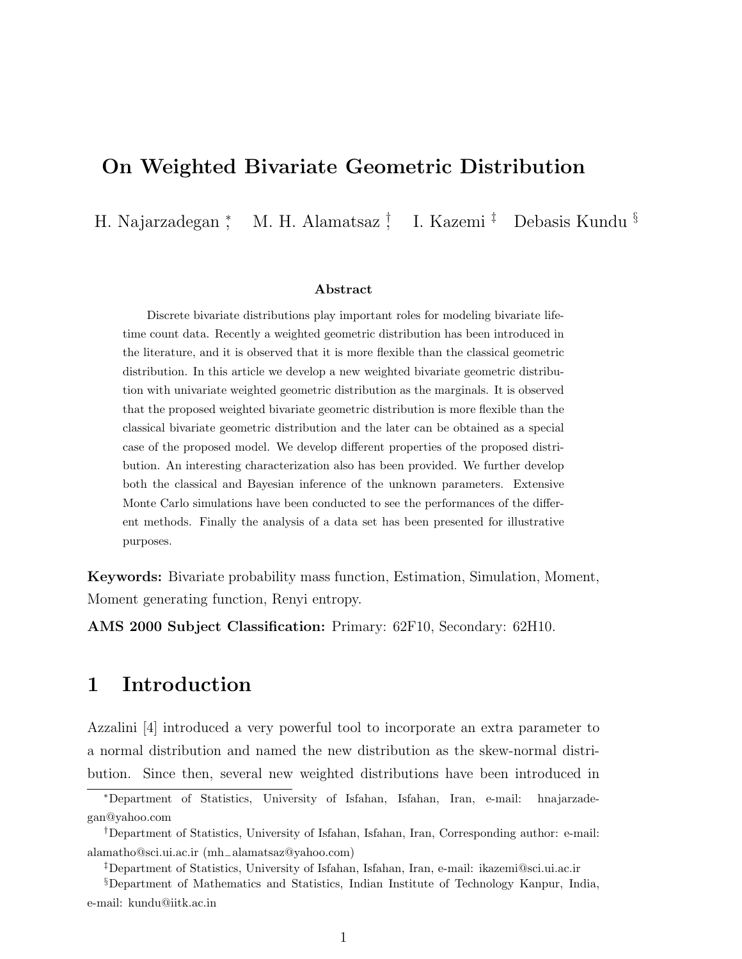### On Weighted Bivariate Geometric Distribution

H. Najarzadegan <sup>∗</sup> , M. H. Alamatsaz † , I. Kazemi ‡ Debasis Kundu §

#### Abstract

Discrete bivariate distributions play important roles for modeling bivariate lifetime count data. Recently a weighted geometric distribution has been introduced in the literature, and it is observed that it is more flexible than the classical geometric distribution. In this article we develop a new weighted bivariate geometric distribution with univariate weighted geometric distribution as the marginals. It is observed that the proposed weighted bivariate geometric distribution is more flexible than the classical bivariate geometric distribution and the later can be obtained as a special case of the proposed model. We develop different properties of the proposed distribution. An interesting characterization also has been provided. We further develop both the classical and Bayesian inference of the unknown parameters. Extensive Monte Carlo simulations have been conducted to see the performances of the different methods. Finally the analysis of a data set has been presented for illustrative purposes.

Keywords: Bivariate probability mass function, Estimation, Simulation, Moment, Moment generating function, Renyi entropy.

AMS 2000 Subject Classification: Primary: 62F10, Secondary: 62H10.

# 1 Introduction

Azzalini [4] introduced a very powerful tool to incorporate an extra parameter to a normal distribution and named the new distribution as the skew-normal distribution. Since then, several new weighted distributions have been introduced in

<sup>∗</sup>Department of Statistics, University of Isfahan, Isfahan, Iran, e-mail: hnajarzadegan@yahoo.com

<sup>†</sup>Department of Statistics, University of Isfahan, Isfahan, Iran, Corresponding author: e-mail: alamatho@sci.ui.ac.ir (mh−alamatsaz@yahoo.com)

<sup>‡</sup>Department of Statistics, University of Isfahan, Isfahan, Iran, e-mail: ikazemi@sci.ui.ac.ir

<sup>§</sup>Department of Mathematics and Statistics, Indian Institute of Technology Kanpur, India, e-mail: kundu@iitk.ac.in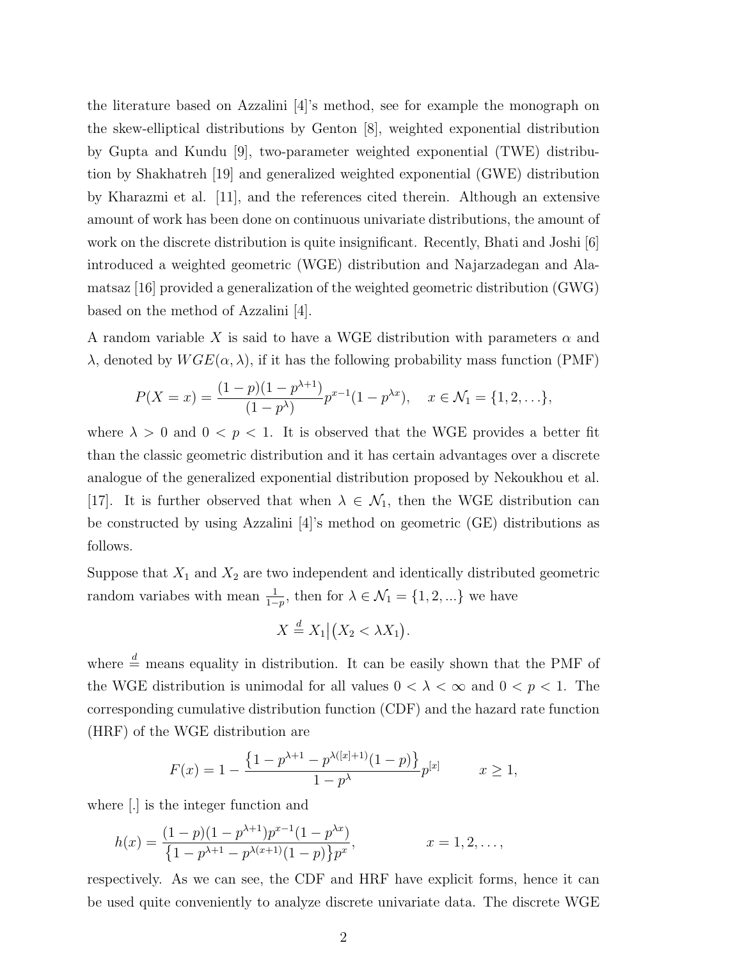the literature based on Azzalini [4]'s method, see for example the monograph on the skew-elliptical distributions by Genton [8], weighted exponential distribution by Gupta and Kundu [9], two-parameter weighted exponential (TWE) distribution by Shakhatreh [19] and generalized weighted exponential (GWE) distribution by Kharazmi et al. [11], and the references cited therein. Although an extensive amount of work has been done on continuous univariate distributions, the amount of work on the discrete distribution is quite insignificant. Recently, Bhati and Joshi [6] introduced a weighted geometric (WGE) distribution and Najarzadegan and Alamatsaz [16] provided a generalization of the weighted geometric distribution (GWG) based on the method of Azzalini [4].

A random variable X is said to have a WGE distribution with parameters  $\alpha$  and  $\lambda$ , denoted by  $WGE(\alpha, \lambda)$ , if it has the following probability mass function (PMF)

$$
P(X = x) = \frac{(1-p)(1-p^{\lambda+1})}{(1-p^{\lambda})} p^{x-1} (1-p^{\lambda x}), \quad x \in \mathcal{N}_1 = \{1, 2, \ldots\},
$$

where  $\lambda > 0$  and  $0 < p < 1$ . It is observed that the WGE provides a better fit than the classic geometric distribution and it has certain advantages over a discrete analogue of the generalized exponential distribution proposed by Nekoukhou et al. [17]. It is further observed that when  $\lambda \in \mathcal{N}_1$ , then the WGE distribution can be constructed by using Azzalini [4]'s method on geometric (GE) distributions as follows.

Suppose that  $X_1$  and  $X_2$  are two independent and identically distributed geometric random variabes with mean  $\frac{1}{1-p}$ , then for  $\lambda \in \mathcal{N}_1 = \{1, 2, ...\}$  we have

$$
X \stackrel{d}{=} X_1 | \big( X_2 < \lambda X_1 \big).
$$

where  $\stackrel{d}{=}$  means equality in distribution. It can be easily shown that the PMF of the WGE distribution is unimodal for all values  $0 < \lambda < \infty$  and  $0 < p < 1$ . The corresponding cumulative distribution function (CDF) and the hazard rate function (HRF) of the WGE distribution are

$$
F(x) = 1 - \frac{\{1 - p^{\lambda + 1} - p^{\lambda([x] + 1)}(1 - p)\}}{1 - p^{\lambda}} p^{[x]} \qquad x \ge 1,
$$

where [.] is the integer function and

$$
h(x) = \frac{(1-p)(1-p^{\lambda+1})p^{x-1}(1-p^{\lambda x})}{\{1-p^{\lambda+1}-p^{\lambda(x+1)}(1-p)\}p^x}, \qquad x = 1, 2, \dots,
$$

respectively. As we can see, the CDF and HRF have explicit forms, hence it can be used quite conveniently to analyze discrete univariate data. The discrete WGE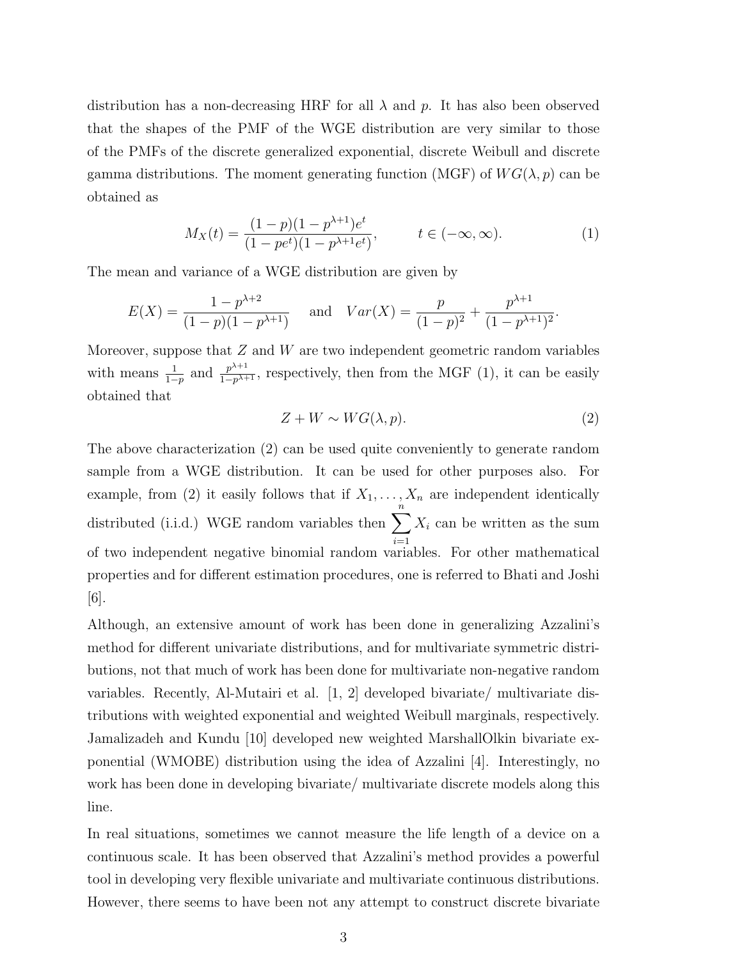distribution has a non-decreasing HRF for all  $\lambda$  and p. It has also been observed that the shapes of the PMF of the WGE distribution are very similar to those of the PMFs of the discrete generalized exponential, discrete Weibull and discrete gamma distributions. The moment generating function (MGF) of  $WG(\lambda, p)$  can be obtained as

$$
M_X(t) = \frac{(1-p)(1-p^{\lambda+1})e^t}{(1-pe^t)(1-p^{\lambda+1}e^t)}, \qquad t \in (-\infty, \infty).
$$
 (1)

The mean and variance of a WGE distribution are given by

$$
E(X) = \frac{1 - p^{\lambda + 2}}{(1 - p)(1 - p^{\lambda + 1})} \quad \text{and} \quad Var(X) = \frac{p}{(1 - p)^2} + \frac{p^{\lambda + 1}}{(1 - p^{\lambda + 1})^2}.
$$

Moreover, suppose that  $Z$  and  $W$  are two independent geometric random variables with means  $\frac{1}{1-p}$  and  $\frac{p^{\lambda+1}}{1-p^{\lambda+1}}$  $\frac{p^{n+1}}{1-p^{n+1}}$ , respectively, then from the MGF (1), it can be easily obtained that

$$
Z + W \sim WG(\lambda, p). \tag{2}
$$

The above characterization (2) can be used quite conveniently to generate random sample from a WGE distribution. It can be used for other purposes also. For example, from (2) it easily follows that if  $X_1, \ldots, X_n$  are independent identically distributed (i.i.d.) WGE random variables then  $\sum_{n=1}^{n}$  $i=1$  $X_i$  can be written as the sum of two independent negative binomial random variables. For other mathematical properties and for different estimation procedures, one is referred to Bhati and Joshi [6].

Although, an extensive amount of work has been done in generalizing Azzalini's method for different univariate distributions, and for multivariate symmetric distributions, not that much of work has been done for multivariate non-negative random variables. Recently, Al-Mutairi et al. [1, 2] developed bivariate/ multivariate distributions with weighted exponential and weighted Weibull marginals, respectively. Jamalizadeh and Kundu [10] developed new weighted MarshallOlkin bivariate exponential (WMOBE) distribution using the idea of Azzalini [4]. Interestingly, no work has been done in developing bivariate/ multivariate discrete models along this line.

In real situations, sometimes we cannot measure the life length of a device on a continuous scale. It has been observed that Azzalini's method provides a powerful tool in developing very flexible univariate and multivariate continuous distributions. However, there seems to have been not any attempt to construct discrete bivariate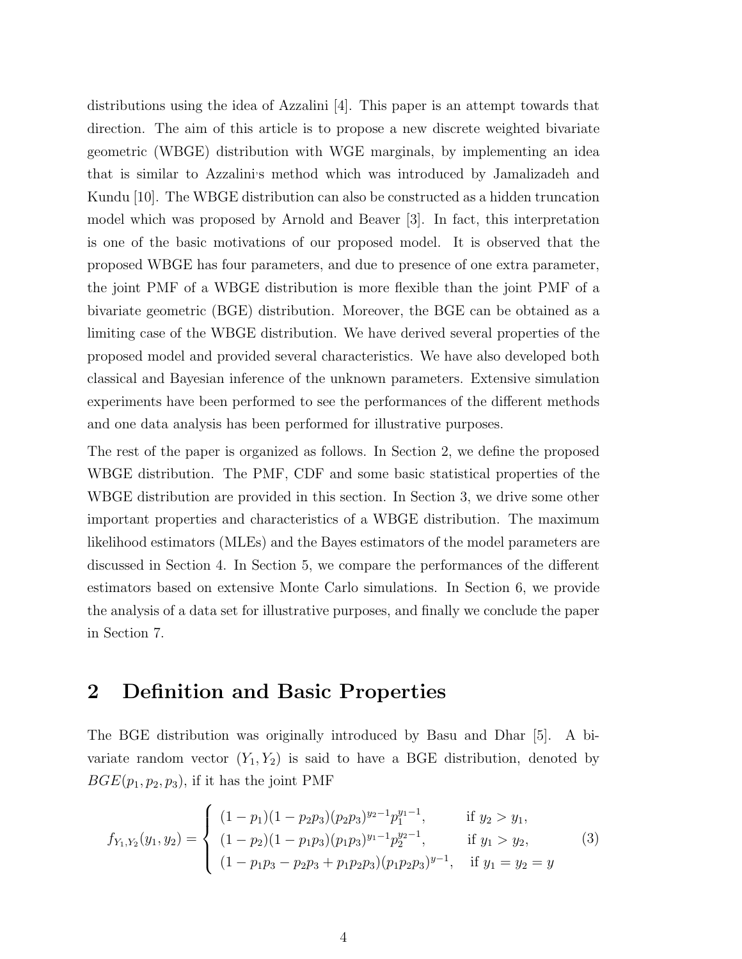distributions using the idea of Azzalini [4]. This paper is an attempt towards that direction. The aim of this article is to propose a new discrete weighted bivariate geometric (WBGE) distribution with WGE marginals, by implementing an idea that is similar to Azzalini's method which was introduced by Jamalizadeh and Kundu [10]. The WBGE distribution can also be constructed as a hidden truncation model which was proposed by Arnold and Beaver [3]. In fact, this interpretation is one of the basic motivations of our proposed model. It is observed that the proposed WBGE has four parameters, and due to presence of one extra parameter, the joint PMF of a WBGE distribution is more flexible than the joint PMF of a bivariate geometric (BGE) distribution. Moreover, the BGE can be obtained as a limiting case of the WBGE distribution. We have derived several properties of the proposed model and provided several characteristics. We have also developed both classical and Bayesian inference of the unknown parameters. Extensive simulation experiments have been performed to see the performances of the different methods and one data analysis has been performed for illustrative purposes.

The rest of the paper is organized as follows. In Section 2, we define the proposed WBGE distribution. The PMF, CDF and some basic statistical properties of the WBGE distribution are provided in this section. In Section 3, we drive some other important properties and characteristics of a WBGE distribution. The maximum likelihood estimators (MLEs) and the Bayes estimators of the model parameters are discussed in Section 4. In Section 5, we compare the performances of the different estimators based on extensive Monte Carlo simulations. In Section 6, we provide the analysis of a data set for illustrative purposes, and finally we conclude the paper in Section 7.

### 2 Definition and Basic Properties

The BGE distribution was originally introduced by Basu and Dhar [5]. A bivariate random vector  $(Y_1, Y_2)$  is said to have a BGE distribution, denoted by  $BGE(p_1, p_2, p_3)$ , if it has the joint PMF

$$
f_{Y_1,Y_2}(y_1,y_2) = \begin{cases} (1-p_1)(1-p_2p_3)(p_2p_3)^{y_2-1}p_1^{y_1-1}, & \text{if } y_2 > y_1, \\ (1-p_2)(1-p_1p_3)(p_1p_3)^{y_1-1}p_2^{y_2-1}, & \text{if } y_1 > y_2, \\ (1-p_1p_3-p_2p_3+p_1p_2p_3)(p_1p_2p_3)^{y-1}, & \text{if } y_1 = y_2 = y \end{cases}
$$
(3)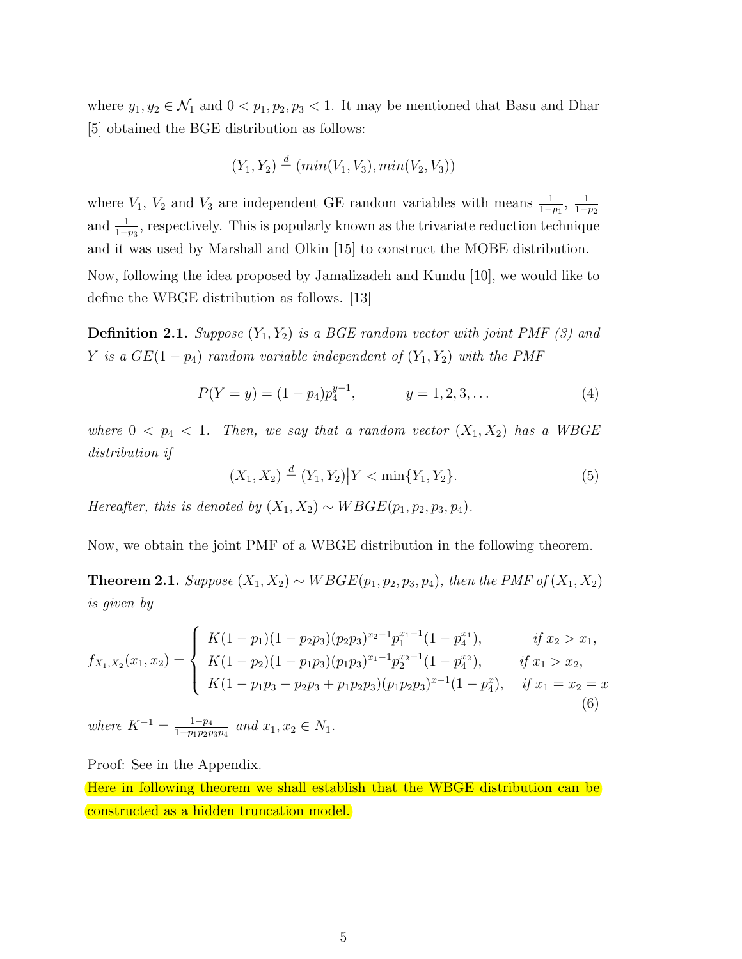where  $y_1, y_2 \in \mathcal{N}_1$  and  $0 < p_1, p_2, p_3 < 1$ . It may be mentioned that Basu and Dhar [5] obtained the BGE distribution as follows:

$$
(Y_1, Y_2) \stackrel{d}{=} (min(V_1, V_3), min(V_2, V_3))
$$

where  $V_1$ ,  $V_2$  and  $V_3$  are independent GE random variables with means  $\frac{1}{1-p_1}$ ,  $\frac{1}{1-p_1}$  $1-p_2$ and  $\frac{1}{1-p_3}$ , respectively. This is popularly known as the trivariate reduction technique and it was used by Marshall and Olkin [15] to construct the MOBE distribution. Now, following the idea proposed by Jamalizadeh and Kundu [10], we would like to

define the WBGE distribution as follows. [13]

**Definition 2.1.** Suppose  $(Y_1, Y_2)$  is a BGE random vector with joint PMF (3) and Y is a  $GE(1 - p_4)$  random variable independent of  $(Y_1, Y_2)$  with the PMF

$$
P(Y = y) = (1 - p_4)p_4^{y-1}, \qquad y = 1, 2, 3, \dots \tag{4}
$$

where  $0 < p_4 < 1$ . Then, we say that a random vector  $(X_1, X_2)$  has a WBGE distribution if

$$
(X_1, X_2) \stackrel{d}{=} (Y_1, Y_2) | Y < \min\{Y_1, Y_2\}.
$$
 (5)

Hereafter, this is denoted by  $(X_1, X_2) \sim W BGE(p_1, p_2, p_3, p_4)$ .

Now, we obtain the joint PMF of a WBGE distribution in the following theorem.

Theorem 2.1. Suppose  $(X_1, X_2) \sim WBGE(p_1, p_2, p_3, p_4)$ , then the PMF of  $(X_1, X_2)$ is given by

$$
f_{X_1,X_2}(x_1,x_2) = \begin{cases} K(1-p_1)(1-p_2p_3)(p_2p_3)^{x_2-1}p_1^{x_1-1}(1-p_4^{x_1}), & \text{if } x_2 > x_1, \\ K(1-p_2)(1-p_1p_3)(p_1p_3)^{x_1-1}p_2^{x_2-1}(1-p_4^{x_2}), & \text{if } x_1 > x_2, \\ K(1-p_1p_3-p_2p_3+p_1p_2p_3)(p_1p_2p_3)^{x-1}(1-p_4^x), & \text{if } x_1 = x_2 = x \end{cases}
$$
(6)

where  $K^{-1} = \frac{1-p_4}{1-p_1p_2r_1}$  $\frac{1-p_4}{1-p_1p_2p_3p_4}$  and  $x_1, x_2 \in N_1$ .

Proof: See in the Appendix.

Here in following theorem we shall establish that the WBGE distribution can be constructed as a hidden truncation model.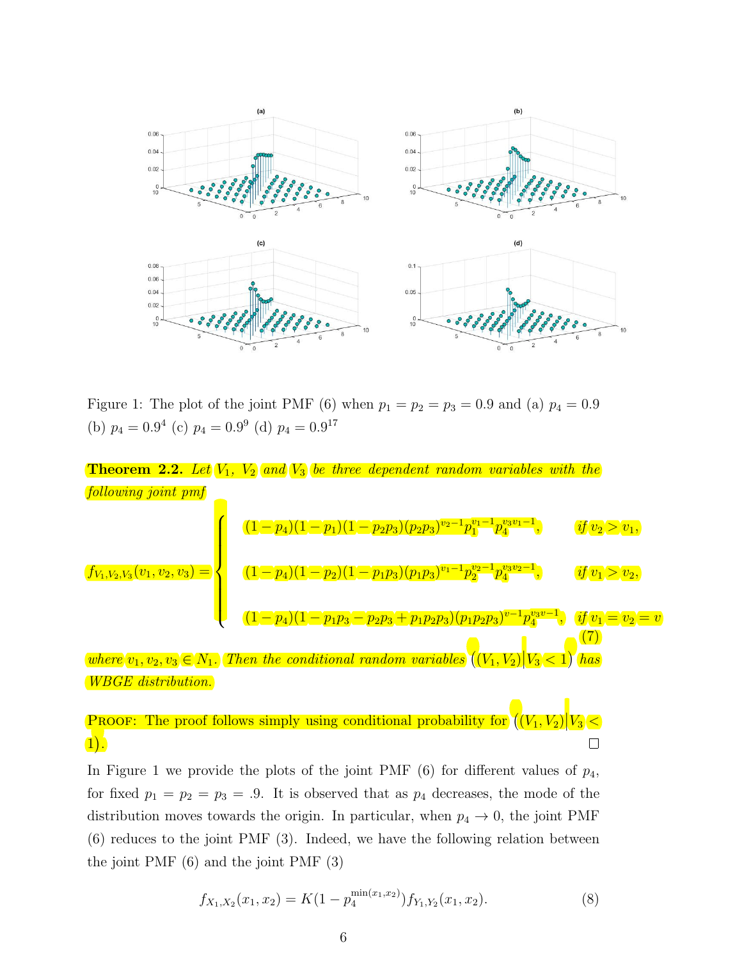

Figure 1: The plot of the joint PMF (6) when  $p_1 = p_2 = p_3 = 0.9$  and (a)  $p_4 = 0.9$ (b)  $p_4 = 0.9^4$  (c)  $p_4 = 0.9^9$  (d)  $p_4 = 0.9^{17}$ 

**Theorem 2.2.** Let 
$$
V_1
$$
,  $V_2$  and  $V_3$  be three dependent random variables with the following joint pmf  
\nfollowing joint pmf  
\n
$$
(1-p_4)(1-p_1)(1-p_2p_3)(p_2p_3)^{v_2-1}p_1^{v_1-1}p_4^{v_3v_1-1}, \t if v_2 > v_1,
$$
\n
$$
(1-p_4)(1-p_2)(1-p_1p_3)(p_1p_3)^{v_1-1}p_2^{v_2-1}p_4^{v_3v_2-1}, \t if v_1 > v_2,
$$
\n
$$
(1-p_4)(1-p_1p_3-p_2p_3+p_1p_2p_3)(p_1p_2p_3)^{v-1}p_4^{v_3v-1}, \t if v_1 = v_2 = v
$$
\nwhere  $v_1, v_2, v_3 \in N_1$ . Then the conditional random variables  $((V_1, V_2)]V_3 < 1$  has  
\nWBGE distribution.

**PROOF:** The proof follows simply using conditional probability for  $((V_1, V_2) | V_3|$ <  $1$ ).  $\Box$ 

In Figure 1 we provide the plots of the joint PMF  $(6)$  for different values of  $p_4$ , for fixed  $p_1 = p_2 = p_3 = .9$ . It is observed that as  $p_4$  decreases, the mode of the distribution moves towards the origin. In particular, when  $p_4 \rightarrow 0$ , the joint PMF (6) reduces to the joint PMF (3). Indeed, we have the following relation between the joint PMF (6) and the joint PMF (3)

$$
f_{X_1,X_2}(x_1,x_2) = K(1 - p_4^{\min(x_1,x_2)}) f_{Y_1,Y_2}(x_1,x_2). \tag{8}
$$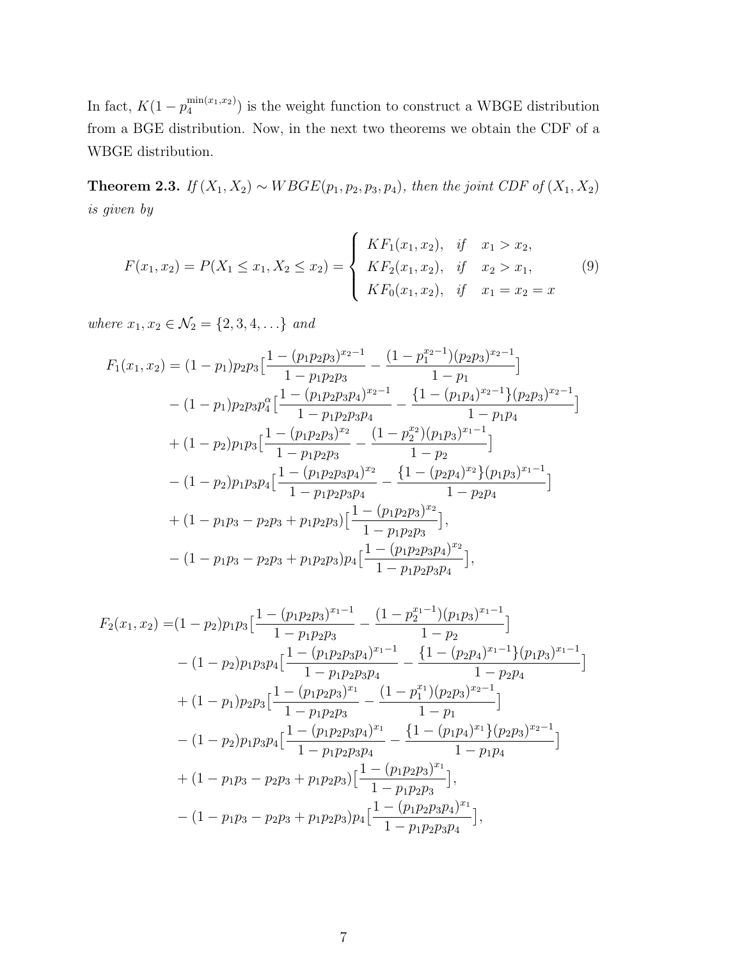In fact,  $K(1-p_4^{\min(x_1,x_2)})$  $\binom{\text{min}(x_1, x_2)}{4}$  is the weight function to construct a WBGE distribution from a BGE distribution. Now, in the next two theorems we obtain the CDF of a WBGE distribution.

Theorem 2.3. If  $(X_1, X_2)$  ∼ WBGE( $p_1, p_2, p_3, p_4$ ), then the joint CDF of  $(X_1, X_2)$ is given by

$$
F(x_1, x_2) = P(X_1 \le x_1, X_2 \le x_2) = \begin{cases} K F_1(x_1, x_2), & \text{if } x_1 > x_2, \\ K F_2(x_1, x_2), & \text{if } x_2 > x_1, \\ K F_0(x_1, x_2), & \text{if } x_1 = x_2 = x \end{cases}
$$
(9)

where  $x_1, x_2 \in \mathcal{N}_2 = \{2, 3, 4, \ldots\}$  and

$$
F_1(x_1, x_2) = (1 - p_1)p_2p_3\left[\frac{1 - (p_1p_2p_3)^{x_2 - 1}}{1 - p_1p_2p_3} - \frac{(1 - p_1^{x_2 - 1})(p_2p_3)^{x_2 - 1}}{1 - p_1}\right]
$$
  
-(1 - p\_1)p\_2p\_3p\_4^{\alpha}\left[\frac{1 - (p\_1p\_2p\_3p\_4)^{x\_2 - 1}}{1 - p\_1p\_2p\_3p\_4} - \frac{\{1 - (p\_1p\_4)^{x\_2 - 1}\}(p\_2p\_3)^{x\_2 - 1}}{1 - p\_1p\_4}\right]  
+(1 - p\_2)p\_1p\_3\left[\frac{1 - (p\_1p\_2p\_3)^{x\_2}}{1 - p\_1p\_2p\_3} - \frac{(1 - p\_2^{x\_2})(p\_1p\_3)^{x\_1 - 1}}{1 - p\_2}\right]  
-(1 - p\_2)p\_1p\_3p\_4\left[\frac{1 - (p\_1p\_2p\_3p\_4)^{x\_2}}{1 - p\_1p\_2p\_3p\_4} - \frac{\{1 - (p\_2p\_4)^{x\_2}\}(p\_1p\_3)^{x\_1 - 1}}{1 - p\_2p\_4}\right]  
+(1 - p\_1p\_3 - p\_2p\_3 + p\_1p\_2p\_3)\left[\frac{1 - (p\_1p\_2p\_3)^{x\_2}}{1 - p\_1p\_2p\_3}\right],  
-(1 - p\_1p\_3 - p\_2p\_3 + p\_1p\_2p\_3)p\_4\left[\frac{1 - (p\_1p\_2p\_3p\_4)^{x\_2}}{1 - p\_1p\_2p\_3p\_4}\right],

$$
F_2(x_1, x_2) = (1 - p_2)p_1p_3\left[\frac{1 - (p_1p_2p_3)^{x_1-1}}{1 - p_1p_2p_3} - \frac{(1 - p_2^{x_1-1})(p_1p_3)^{x_1-1}}{1 - p_2}\right]
$$
  

$$
- (1 - p_2)p_1p_3p_4\left[\frac{1 - (p_1p_2p_3p_4)^{x_1-1}}{1 - p_1p_2p_3p_4} - \frac{\{1 - (p_2p_4)^{x_1-1}\}(p_1p_3)^{x_1-1}}{1 - p_2p_4}\right]
$$
  

$$
+ (1 - p_1)p_2p_3\left[\frac{1 - (p_1p_2p_3)^{x_1}}{1 - p_1p_2p_3} - \frac{(1 - p_1^{x_1})(p_2p_3)^{x_2-1}}{1 - p_1}\right]
$$
  

$$
- (1 - p_2)p_1p_3p_4\left[\frac{1 - (p_1p_2p_3p_4)^{x_1}}{1 - p_1p_2p_3p_4} - \frac{\{1 - (p_1p_4)^{x_1}\}(p_2p_3)^{x_2-1}}{1 - p_1p_4}\right]
$$
  

$$
+ (1 - p_1p_3 - p_2p_3 + p_1p_2p_3)\left[\frac{1 - (p_1p_2p_3)^{x_1}}{1 - p_1p_2p_3}\right],
$$
  

$$
- (1 - p_1p_3 - p_2p_3 + p_1p_2p_3)p_4\left[\frac{1 - (p_1p_2p_3p_4)^{x_1}}{1 - p_1p_2p_3p_4}\right],
$$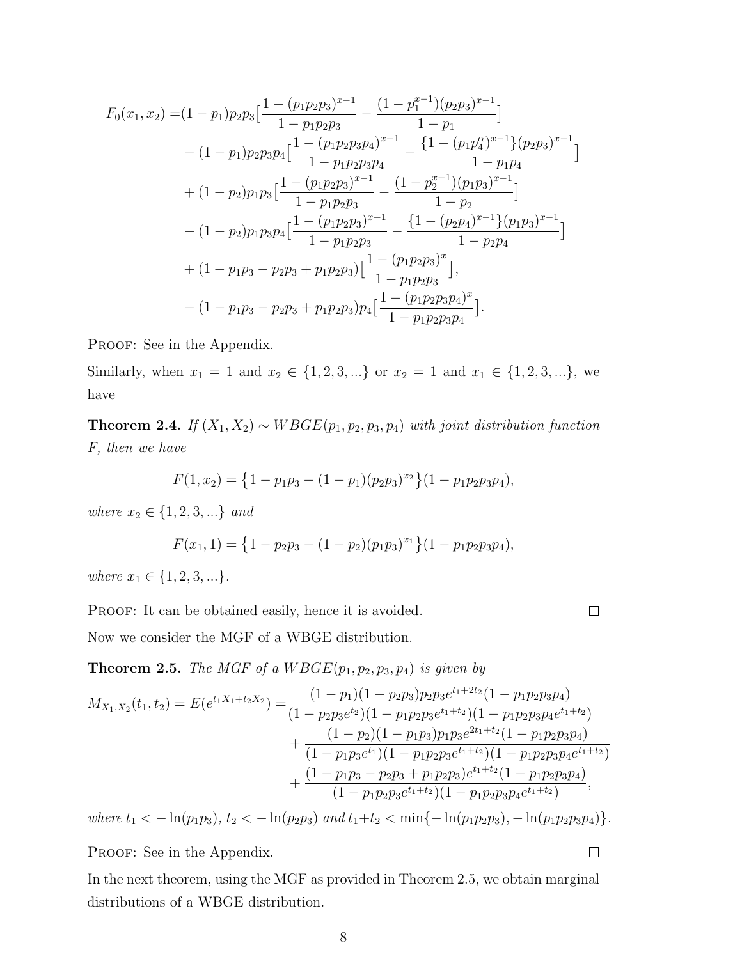$$
F_0(x_1, x_2) = (1 - p_1)p_2p_3\left[\frac{1 - (p_1p_2p_3)^{x-1}}{1 - p_1p_2p_3} - \frac{(1 - p_1^{x-1})(p_2p_3)^{x-1}}{1 - p_1}\right]
$$
  

$$
- (1 - p_1)p_2p_3p_4\left[\frac{1 - (p_1p_2p_3p_4)^{x-1}}{1 - p_1p_2p_3p_4} - \frac{\{1 - (p_1p_4^{x-1})(p_2p_3)^{x-1}}{1 - p_1p_4}\right]
$$
  

$$
+ (1 - p_2)p_1p_3\left[\frac{1 - (p_1p_2p_3)^{x-1}}{1 - p_1p_2p_3} - \frac{(1 - p_2^{x-1})(p_1p_3)^{x-1}}{1 - p_2}\right]
$$
  

$$
- (1 - p_2)p_1p_3p_4\left[\frac{1 - (p_1p_2p_3)^{x-1}}{1 - p_1p_2p_3} - \frac{\{1 - (p_2p_4)^{x-1}\}(p_1p_3)^{x-1}}{1 - p_2p_4}\right]
$$
  

$$
+ (1 - p_1p_3 - p_2p_3 + p_1p_2p_3)\left[\frac{1 - (p_1p_2p_3)^x}{1 - p_1p_2p_3}\right],
$$
  

$$
- (1 - p_1p_3 - p_2p_3 + p_1p_2p_3)p_4\left[\frac{1 - (p_1p_2p_3p_4)^x}{1 - p_1p_2p_3p_4}\right].
$$

PROOF: See in the Appendix.

Similarly, when  $x_1 = 1$  and  $x_2 \in \{1, 2, 3, ...\}$  or  $x_2 = 1$  and  $x_1 \in \{1, 2, 3, ...\}$ , we have

**Theorem 2.4.** If  $(X_1, X_2) \sim WBGE(p_1, p_2, p_3, p_4)$  with joint distribution function F, then we have

$$
F(1, x_2) = \{1 - p_1p_3 - (1 - p_1)(p_2p_3)^{x_2}\}(1 - p_1p_2p_3p_4),
$$

where  $x_2 \in \{1, 2, 3, ...\}$  and

$$
F(x_1, 1) = \left\{1 - p_2p_3 - (1 - p_2)(p_1p_3)^{x_1}\right\}(1 - p_1p_2p_3p_4),
$$

where  $x_1 \in \{1, 2, 3, ...\}$ .

PROOF: It can be obtained easily, hence it is avoided.

 $\Box$ 

Now we consider the MGF of a WBGE distribution.

**Theorem 2.5.** The MGF of a  $W BGE(p_1, p_2, p_3, p_4)$  is given by

$$
M_{X_1,X_2}(t_1,t_2) = E(e^{t_1X_1+t_2X_2}) = \frac{(1-p_1)(1-p_2p_3)p_2p_3e^{t_1+2t_2}(1-p_1p_2p_3p_4)}{(1-p_2p_3e^{t_2})(1-p_1p_2p_3e^{t_1+t_2})(1-p_1p_2p_3p_4e^{t_1+t_2})} + \frac{(1-p_2)(1-p_1p_3)p_1p_3e^{2t_1+t_2}(1-p_1p_2p_3p_4)}{(1-p_1p_3e^{t_1})(1-p_1p_2p_3e^{t_1+t_2})(1-p_1p_2p_3p_4e^{t_1+t_2})} + \frac{(1-p_1p_3-p_2p_3+p_1p_2p_3)e^{t_1+t_2}(1-p_1p_2p_3p_4)}{(1-p_1p_2p_3e^{t_1+t_2})(1-p_1p_2p_3p_4e^{t_1+t_2})},
$$

where  $t_1 < -\ln(p_1p_3)$ ,  $t_2 < -\ln(p_2p_3)$  and  $t_1+t_2 < \min\{-\ln(p_1p_2p_3), -\ln(p_1p_2p_3p_4)\}.$ 

PROOF: See in the Appendix.

In the next theorem, using the MGF as provided in Theorem 2.5, we obtain marginal distributions of a WBGE distribution.

 $\Box$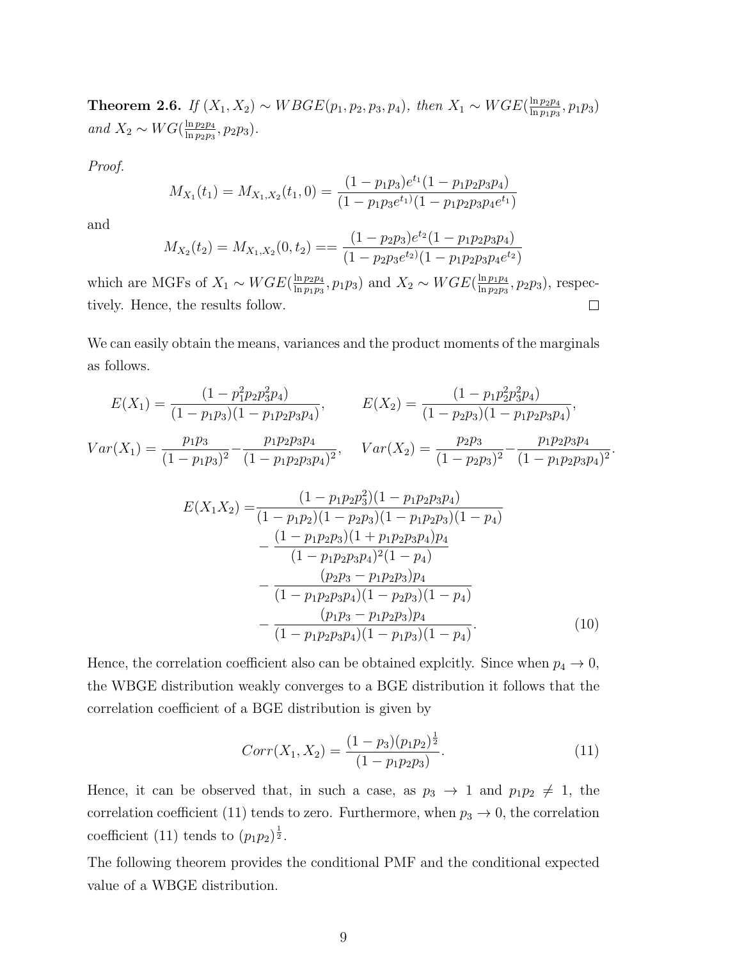**Theorem 2.6.** If  $(X_1, X_2) \sim WBGE(p_1, p_2, p_3, p_4)$ , then  $X_1 \sim WGE(\frac{\ln p_2 p_4}{\ln p_1 p_2})$  $\frac{\ln p_2p_4}{\ln p_1p_3}, p_1p_3)$ and  $X_2 \sim WG(\frac{\ln p_2 p_4}{\ln p_2 p_3})$  $\frac{\ln p_2p_4}{\ln p_2p_3}, p_2p_3$ .

Proof.

$$
M_{X_1}(t_1) = M_{X_1, X_2}(t_1, 0) = \frac{(1 - p_1 p_3)e^{t_1}(1 - p_1 p_2 p_3 p_4)}{(1 - p_1 p_3 e^{t_1})(1 - p_1 p_2 p_3 p_4 e^{t_1})}
$$

and

$$
M_{X_2}(t_2) = M_{X_1,X_2}(0,t_2) = \frac{(1-p_2p_3)e^{t_2}(1-p_1p_2p_3p_4)}{(1-p_2p_3e^{t_2})(1-p_1p_2p_3p_4e^{t_2})}
$$

which are MGFs of  $X_1 \sim WGE(\frac{\ln p_2p_4}{\ln p_1p_2})$  $\frac{\ln p_2 p_4}{\ln p_1 p_3}$ ,  $p_1 p_3$ ) and  $X_2 \sim WGE(\frac{\ln p_1 p_4}{\ln p_2 p_3})$  $\frac{\ln p_1p_4}{\ln p_2p_3}, p_2p_3$ ), respectively. Hence, the results follow.  $\Box$ 

We can easily obtain the means, variances and the product moments of the marginals as follows.

$$
E(X_1) = \frac{(1 - p_1^2 p_2 p_3^2 p_4)}{(1 - p_1 p_3)(1 - p_1 p_2 p_3 p_4)}, \qquad E(X_2) = \frac{(1 - p_1 p_2^2 p_3^2 p_4)}{(1 - p_2 p_3)(1 - p_1 p_2 p_3 p_4)},
$$
  
\n
$$
Var(X_1) = \frac{p_1 p_3}{(1 - p_1 p_3)^2} - \frac{p_1 p_2 p_3 p_4}{(1 - p_1 p_2 p_3 p_4)^2}, \qquad Var(X_2) = \frac{p_2 p_3}{(1 - p_2 p_3)^2} - \frac{p_1 p_2 p_3 p_4}{(1 - p_1 p_2 p_3 p_4)^2}.
$$
  
\n
$$
E(X_1 X_2) = \frac{(1 - p_1 p_2 p_3^2)(1 - p_1 p_2 p_3 p_4)}{(1 - p_1 p_2 p_3)(1 - p_1 p_2 p_3 p_4)}
$$
  
\n
$$
- \frac{(1 - p_1 p_2 p_3)(1 + p_1 p_2 p_3 p_4)}{(1 - p_1 p_2 p_3 p_4)^2 (1 - p_4)}
$$
  
\n
$$
- \frac{(p_2 p_3 - p_1 p_2 p_3) p_4}{(1 - p_1 p_2 p_3 p_4)(1 - p_2 p_3)(1 - p_4)}
$$
  
\n
$$
- \frac{(p_1 p_3 - p_1 p_2 p_3) p_4}{(1 - p_1 p_2 p_3 p_4)(1 - p_1 p_3)(1 - p_4)}.
$$
  
\n(10)

Hence, the correlation coefficient also can be obtained explcitly. Since when  $p_4 \rightarrow 0$ , the WBGE distribution weakly converges to a BGE distribution it follows that the correlation coefficient of a BGE distribution is given by

$$
Corr(X_1, X_2) = \frac{(1 - p_3)(p_1 p_2)^{\frac{1}{2}}}{(1 - p_1 p_2 p_3)}.
$$
\n(11)

Hence, it can be observed that, in such a case, as  $p_3 \rightarrow 1$  and  $p_1p_2 \neq 1$ , the correlation coefficient (11) tends to zero. Furthermore, when  $p_3 \to 0$ , the correlation coefficient (11) tends to  $(p_1p_2)^{\frac{1}{2}}$ .

The following theorem provides the conditional PMF and the conditional expected value of a WBGE distribution.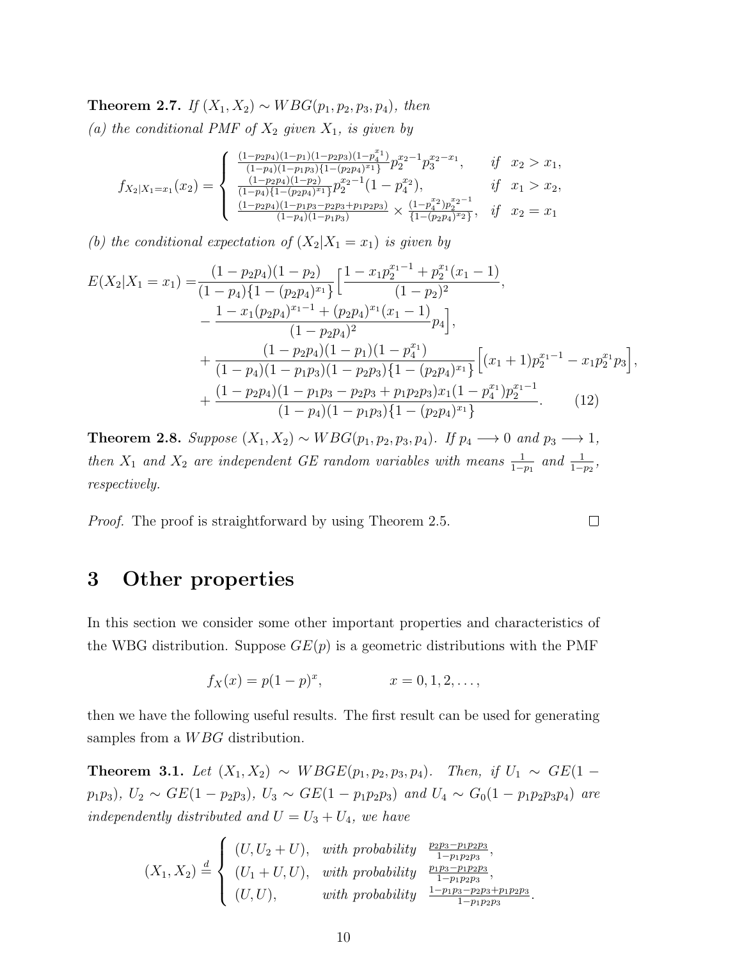**Theorem 2.7.** If  $(X_1, X_2)$  ∼ WBG( $p_1, p_2, p_3, p_4$ ), then

(a) the conditional PMF of  $X_2$  given  $X_1$ , is given by

$$
f_{X_2|X_1=x_1}(x_2) = \begin{cases} \frac{(1-p_2p_4)(1-p_1)(1-p_2p_3)(1-p_4^{x_1})}{(1-p_4)(1-p_1p_3)\{1-(p_2p_4)^{x_1}\}} p_2^{x_2-1} p_3^{x_2-x_1}, & if \quad x_2 > x_1, \\ \frac{(1-p_2p_4)(1-p_2)}{(1-p_4)(1-(p_2p_4)^{x_1})} p_2^{x_2-1} (1-p_4^{x_2}), & if \quad x_1 > x_2, \\ \frac{(1-p_2p_4)(1-p_1p_3-p_2p_3+p_1p_2p_3)}{(1-p_4)(1-p_1p_3)} \times \frac{(1-p_4^{x_2})p_2^{x_2-1}}{(1-(p_2p_4)^{x_2})}, & if \quad x_2 = x_1 \end{cases}
$$

(b) the conditional expectation of  $(X_2|X_1 = x_1)$  is given by

$$
E(X_2|X_1 = x_1) = \frac{(1 - p_2p_4)(1 - p_2)}{(1 - p_4)\{1 - (p_2p_4)^{x_1}\}} \left[\frac{1 - x_1p_2^{x_1 - 1} + p_2^{x_1}(x_1 - 1)}{(1 - p_2)^2}, \frac{1 - x_1(p_2p_4)^{x_1 - 1} + (p_2p_4)^{x_1}(x_1 - 1)}{(1 - p_2p_4)^2} p_4\right],
$$
  
+ 
$$
\frac{(1 - p_2p_4)(1 - p_1)(1 - p_4^{x_1})}{(1 - p_4)(1 - p_1p_3)(1 - p_2p_3)\{1 - (p_2p_4)^{x_1}\}} \left[(x_1 + 1)p_2^{x_1 - 1} - x_1p_2^{x_1}p_3\right],
$$
  
+ 
$$
\frac{(1 - p_2p_4)(1 - p_1p_3 - p_2p_3 + p_1p_2p_3)x_1(1 - p_4^{x_1})p_2^{x_1 - 1}}{(1 - p_4)(1 - p_1p_3)\{1 - (p_2p_4)^{x_1}\}}.
$$
(12)

**Theorem 2.8.** Suppose  $(X_1, X_2) \sim WBG(p_1, p_2, p_3, p_4)$ . If  $p_4 \rightarrow 0$  and  $p_3 \rightarrow 1$ , then  $X_1$  and  $X_2$  are independent GE random variables with means  $\frac{1}{1-p_1}$  and  $\frac{1}{1-p_2}$ , respectively.

 $\Box$ 

*Proof.* The proof is straightforward by using Theorem 2.5.

### 3 Other properties

In this section we consider some other important properties and characteristics of the WBG distribution. Suppose  $GE(p)$  is a geometric distributions with the PMF

$$
f_X(x) = p(1-p)^x, \t x = 0, 1, 2, \dots,
$$

then we have the following useful results. The first result can be used for generating samples from a *WBG* distribution.

**Theorem 3.1.** Let  $(X_1, X_2)$  ∼ WBGE( $p_1, p_2, p_3, p_4$ ). Then, if  $U_1$  ∼ GE(1 −  $p_1p_3$ ,  $U_2 \sim GE(1-p_2p_3)$ ,  $U_3 \sim GE(1-p_1p_2p_3)$  and  $U_4 \sim G_0(1-p_1p_2p_3p_4)$  are independently distributed and  $U = U_3 + U_4$ , we have

$$
(X_1, X_2) \stackrel{d}{=} \begin{cases} (U, U_2 + U), & with \ probability \frac{p_2 p_3 - p_1 p_2 p_3}{1 - p_1 p_2 p_3}, \\ (U_1 + U, U), & with \ probability \frac{p_1 p_3 - p_1 p_2 p_3}{1 - p_1 p_2 p_3}, \\ (U, U), & with \ probability \frac{1 - p_1 p_3 - p_2 p_3 + p_1 p_2 p_3}{1 - p_1 p_2 p_3}. \end{cases}
$$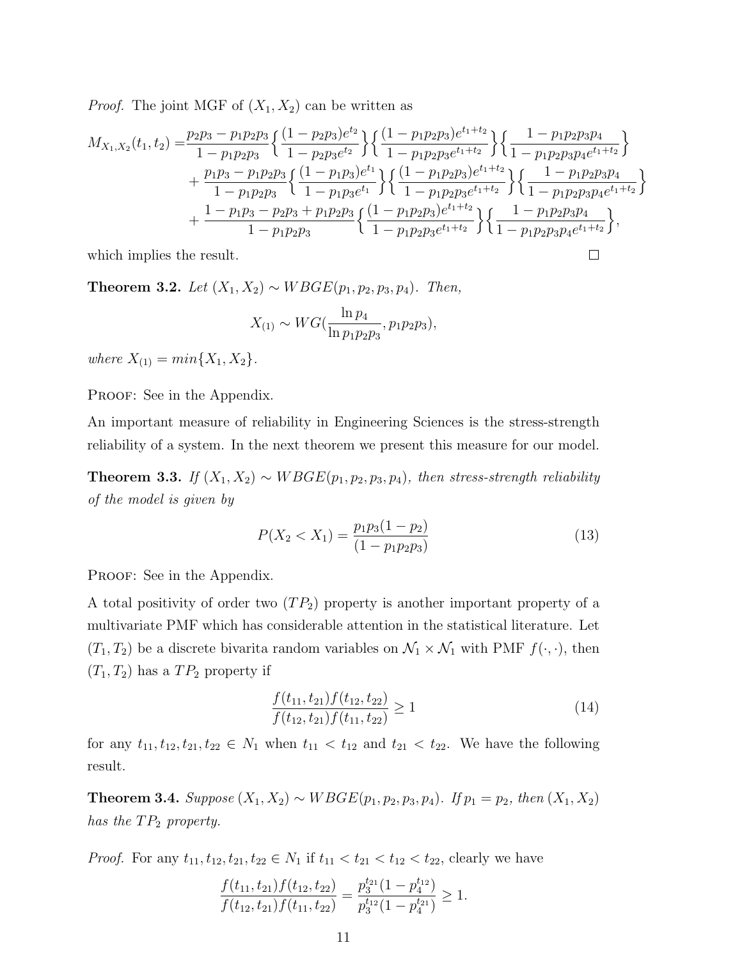*Proof.* The joint MGF of  $(X_1, X_2)$  can be written as

$$
M_{X_1,X_2}(t_1,t_2) = \frac{p_2p_3 - p_1p_2p_3}{1 - p_1p_2p_3} \left\{ \frac{(1 - p_2p_3)e^{t_2}}{1 - p_1p_2p_3e^{t_2}} \right\} \left\{ \frac{(1 - p_1p_2p_3)e^{t_1+t_2}}{1 - p_1p_2p_3e^{t_1+t_2}} \right\} \left\{ \frac{1 - p_1p_2p_3p_4e^{t_1+t_2}}{1 - p_1p_2p_3p_4e^{t_1+t_2}} \right\} + \frac{p_1p_3 - p_1p_2p_3}{1 - p_1p_2p_3} \left\{ \frac{(1 - p_1p_3)e^{t_1}}{1 - p_1p_2e^{t_1}} \right\} \left\{ \frac{(1 - p_1p_2p_3)e^{t_1+t_2}}{1 - p_1p_2p_3e^{t_1+t_2}} \right\} \left\{ \frac{1 - p_1p_2p_3p_4}{1 - p_1p_2p_3p_4e^{t_1+t_2}} \right\} + \frac{1 - p_1p_3 - p_2p_3 + p_1p_2p_3}{1 - p_1p_2p_3} \left\{ \frac{(1 - p_1p_2p_3)e^{t_1+t_2}}{1 - p_1p_2p_3e^{t_1+t_2}} \right\} \left\{ \frac{1 - p_1p_2p_3p_4}{1 - p_1p_2p_3p_4e^{t_1+t_2}} \right\},
$$

which implies the result.

Theorem 3.2. Let  $(X_1, X_2) \sim W BGE(p_1, p_2, p_3, p_4)$ . Then,

$$
X_{(1)} \sim WG(\frac{\ln p_4}{\ln p_1 p_2 p_3}, p_1 p_2 p_3),
$$

where  $X_{(1)} = min\{X_1, X_2\}.$ 

PROOF: See in the Appendix.

An important measure of reliability in Engineering Sciences is the stress-strength reliability of a system. In the next theorem we present this measure for our model.

Theorem 3.3. If  $(X_1, X_2) \sim WBGE(p_1, p_2, p_3, p_4)$ , then stress-strength reliability of the model is given by

$$
P(X_2 < X_1) = \frac{p_1 p_3 (1 - p_2)}{(1 - p_1 p_2 p_3)}\tag{13}
$$

 $\Box$ 

PROOF: See in the Appendix.

A total positivity of order two  $(T_{P_2})$  property is another important property of a multivariate PMF which has considerable attention in the statistical literature. Let  $(T_1, T_2)$  be a discrete bivarita random variables on  $\mathcal{N}_1 \times \mathcal{N}_1$  with PMF  $f(\cdot, \cdot)$ , then  $(T_1, T_2)$  has a  $TP_2$  property if

$$
\frac{f(t_{11}, t_{21})f(t_{12}, t_{22})}{f(t_{12}, t_{21})f(t_{11}, t_{22})} \ge 1
$$
\n(14)

for any  $t_{11}, t_{12}, t_{21}, t_{22} \in N_1$  when  $t_{11} < t_{12}$  and  $t_{21} < t_{22}$ . We have the following result.

Theorem 3.4. Suppose  $(X_1, X_2) \sim WBGE(p_1, p_2, p_3, p_4)$ . If  $p_1 = p_2$ , then  $(X_1, X_2)$ has the  $TP_2$  property.

*Proof.* For any  $t_{11}$ ,  $t_{12}$ ,  $t_{21}$ ,  $t_{22} \in N_1$  if  $t_{11} < t_{21} < t_{12} < t_{22}$ , clearly we have

$$
\frac{f(t_{11}, t_{21})f(t_{12}, t_{22})}{f(t_{12}, t_{21})f(t_{11}, t_{22})} = \frac{p_3^{t_{21}}(1 - p_4^{t_{12}})}{p_3^{t_{12}}(1 - p_4^{t_{21}})} \ge 1.
$$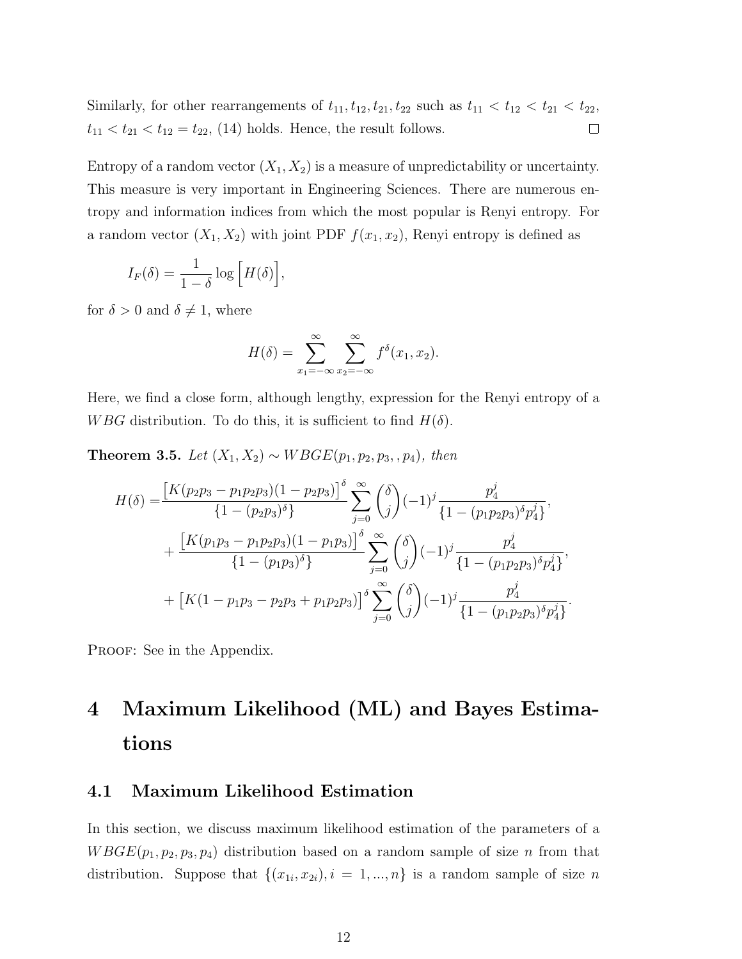Similarly, for other rearrangements of  $t_{11}$ ,  $t_{12}$ ,  $t_{21}$ ,  $t_{22}$  such as  $t_{11} < t_{12} < t_{21} < t_{22}$ ,  $t_{11} < t_{21} < t_{12} = t_{22}$ , (14) holds. Hence, the result follows.  $\Box$ 

Entropy of a random vector  $(X_1, X_2)$  is a measure of unpredictability or uncertainty. This measure is very important in Engineering Sciences. There are numerous entropy and information indices from which the most popular is Renyi entropy. For a random vector  $(X_1, X_2)$  with joint PDF  $f(x_1, x_2)$ , Renyi entropy is defined as

$$
I_F(\delta) = \frac{1}{1-\delta} \log \left[ H(\delta) \right],
$$

for  $\delta > 0$  and  $\delta \neq 1$ , where

$$
H(\delta) = \sum_{x_1 = -\infty}^{\infty} \sum_{x_2 = -\infty}^{\infty} f^{\delta}(x_1, x_2).
$$

Here, we find a close form, although lengthy, expression for the Renyi entropy of a WBG distribution. To do this, it is sufficient to find  $H(\delta)$ .

Theorem 3.5. Let  $(X_1, X_2) \sim W BGE(p_1, p_2, p_3, p_4)$ , then

$$
H(\delta) = \frac{\left[K(p_2p_3 - p_1p_2p_3)(1 - p_2p_3)\right]^{\delta}}{\left\{1 - (p_2p_3)^{\delta}\right\}} \sum_{j=0}^{\infty} {\delta \choose j} (-1)^j \frac{p_4^j}{\left\{1 - (p_1p_2p_3)^{\delta}p_4^j\right\}},
$$
  
+ 
$$
\frac{\left[K(p_1p_3 - p_1p_2p_3)(1 - p_1p_3)\right]^{\delta}}{\left\{1 - (p_1p_3)^{\delta}\right\}} \sum_{j=0}^{\infty} {\delta \choose j} (-1)^j \frac{p_4^j}{\left\{1 - (p_1p_2p_3)^{\delta}p_4^j\right\}},
$$
  
+ 
$$
\left[K(1 - p_1p_3 - p_2p_3 + p_1p_2p_3)\right]^{\delta} \sum_{j=0}^{\infty} {\delta \choose j} (-1)^j \frac{p_4^j}{\left\{1 - (p_1p_2p_3)^{\delta}p_4^j\right\}}
$$

.

PROOF: See in the Appendix.

# 4 Maximum Likelihood (ML) and Bayes Estimations

#### 4.1 Maximum Likelihood Estimation

In this section, we discuss maximum likelihood estimation of the parameters of a  $W BGE(p_1, p_2, p_3, p_4)$  distribution based on a random sample of size n from that distribution. Suppose that  $\{(x_{1i}, x_{2i}), i = 1, ..., n\}$  is a random sample of size n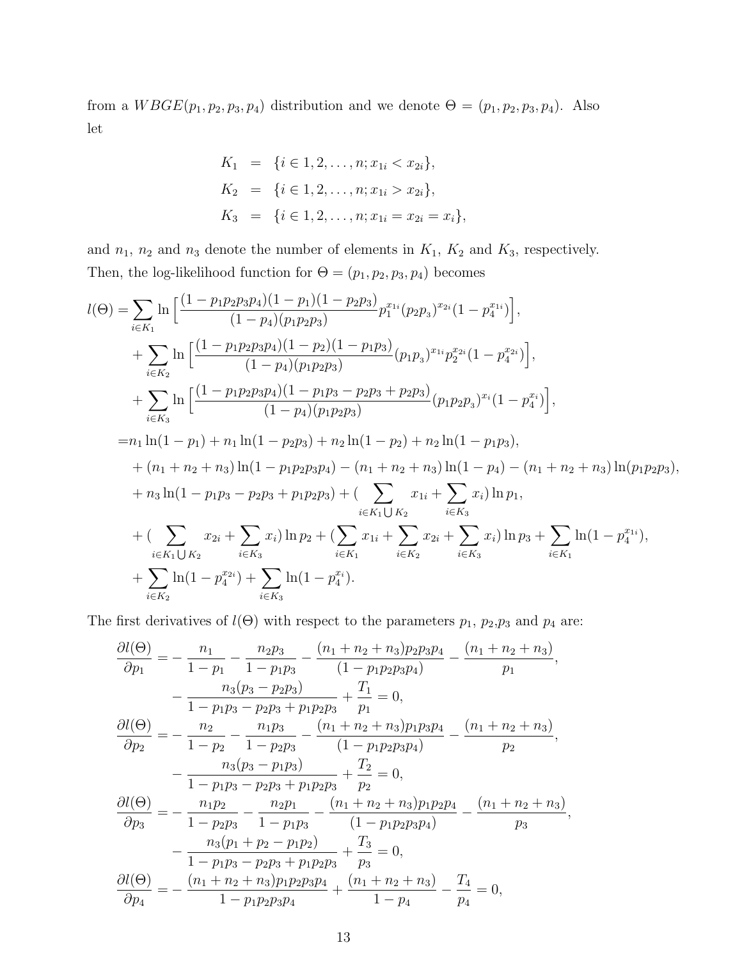from a  $W BGE(p_1, p_2, p_3, p_4)$  distribution and we denote  $\Theta = (p_1, p_2, p_3, p_4)$ . Also let

$$
K_1 = \{i \in 1, 2, \dots, n; x_{1i} < x_{2i}\},
$$
\n
$$
K_2 = \{i \in 1, 2, \dots, n; x_{1i} > x_{2i}\},
$$
\n
$$
K_3 = \{i \in 1, 2, \dots, n; x_{1i} = x_{2i} = x_i\},
$$

and  $n_1$ ,  $n_2$  and  $n_3$  denote the number of elements in  $K_1$ ,  $K_2$  and  $K_3$ , respectively. Then, the log-likelihood function for  $\Theta = (p_1, p_2, p_3, p_4)$  becomes

$$
l(\Theta) = \sum_{i \in K_1} \ln \left[ \frac{(1 - p_1 p_2 p_3 p_4)(1 - p_1)(1 - p_2 p_3)}{(1 - p_4)(p_1 p_2 p_3)} p_1^{x_{1i}} (p_2 p_3)^{x_{2i}} (1 - p_4^{x_{1i}}) \right],
$$
  
+ 
$$
\sum_{i \in K_2} \ln \left[ \frac{(1 - p_1 p_2 p_3 p_4)(1 - p_2)(1 - p_1 p_3)}{(1 - p_4)(p_1 p_2 p_3)} (p_1 p_3)^{x_{1i}} p_2^{x_{2i}} (1 - p_4^{x_{2i}}) \right],
$$
  
+ 
$$
\sum_{i \in K_3} \ln \left[ \frac{(1 - p_1 p_2 p_3 p_4)(1 - p_1 p_3 - p_2 p_3 + p_2 p_3)}{(1 - p_4)(p_1 p_2 p_3)} (p_1 p_2 p_3)^{x_i} (1 - p_4^{x_i}) \right],
$$
  
= 
$$
n_1 \ln(1 - p_1) + n_1 \ln(1 - p_2 p_3) + n_2 \ln(1 - p_2) + n_2 \ln(1 - p_1 p_3),
$$
  
+ 
$$
(n_1 + n_2 + n_3) \ln(1 - p_1 p_2 p_3 p_4) - (n_1 + n_2 + n_3) \ln(1 - p_4) - (n_1 + n_2 + n_3) \ln(p_1 p_2 p_3),
$$
  
+ 
$$
n_3 \ln(1 - p_1 p_3 - p_2 p_3 + p_1 p_2 p_3) + (\sum_{i \in K_1 \cup K_2} x_{1i} + \sum_{i \in K_3} x_i) \ln p_1,
$$
  
+ 
$$
(\sum_{i \in K_1 \cup K_2} x_{2i} + \sum_{i \in K_3} x_i) \ln p_2 + (\sum_{i \in K_1} x_{1i} + \sum_{i \in K_2} x_{2i} + \sum_{i \in K_3} x_i) \ln p_3 + \sum_{i \in K_1} \ln(1 - p_4^{x_{1i}}),
$$
  
+ 
$$
\sum_{i \in K_1 \cup K_2} \ln(1 - p_4^{x_{2i}}) + \sum_{i \in K_3} \ln(1 - p
$$

The first derivatives of  $l(\Theta)$  with respect to the parameters  $p_1$ ,  $p_2$ ,  $p_3$  and  $p_4$  are:

$$
\frac{\partial l(\Theta)}{\partial p_1} = -\frac{n_1}{1 - p_1} - \frac{n_2 p_3}{1 - p_1 p_3} - \frac{(n_1 + n_2 + n_3) p_2 p_3 p_4}{(1 - p_1 p_2 p_3 p_4)} - \frac{(n_1 + n_2 + n_3)}{p_1},
$$
  
\n
$$
-\frac{n_3(p_3 - p_2 p_3)}{1 - p_1 p_3 - p_2 p_3 + p_1 p_2 p_3} + \frac{T_1}{p_1} = 0,
$$
  
\n
$$
\frac{\partial l(\Theta)}{\partial p_2} = -\frac{n_2}{1 - p_2} - \frac{n_1 p_3}{1 - p_2 p_3} - \frac{(n_1 + n_2 + n_3) p_1 p_3 p_4}{(1 - p_1 p_2 p_3 p_4)} - \frac{(n_1 + n_2 + n_3)}{p_2},
$$
  
\n
$$
-\frac{n_3(p_3 - p_1 p_3)}{1 - p_1 p_3 - p_2 p_3 + p_1 p_2 p_3} + \frac{T_2}{p_2} = 0,
$$
  
\n
$$
\frac{\partial l(\Theta)}{\partial p_3} = -\frac{n_1 p_2}{1 - p_2 p_3} - \frac{n_2 p_1}{1 - p_1 p_3} - \frac{(n_1 + n_2 + n_3) p_1 p_2 p_4}{(1 - p_1 p_2 p_3 p_4)} - \frac{(n_1 + n_2 + n_3)}{p_3},
$$
  
\n
$$
-\frac{n_3(p_1 + p_2 - p_1 p_2)}{1 - p_1 p_3 - p_2 p_3 + p_1 p_2 p_3} + \frac{T_3}{p_3} = 0,
$$
  
\n
$$
\frac{\partial l(\Theta)}{\partial p_4} = -\frac{(n_1 + n_2 + n_3) p_1 p_2 p_3 p_4}{1 - p_1 p_2 p_3 p_4} + \frac{(n_1 + n_2 + n_3)}{1 - p_4} - \frac{T_4}{p_4} = 0,
$$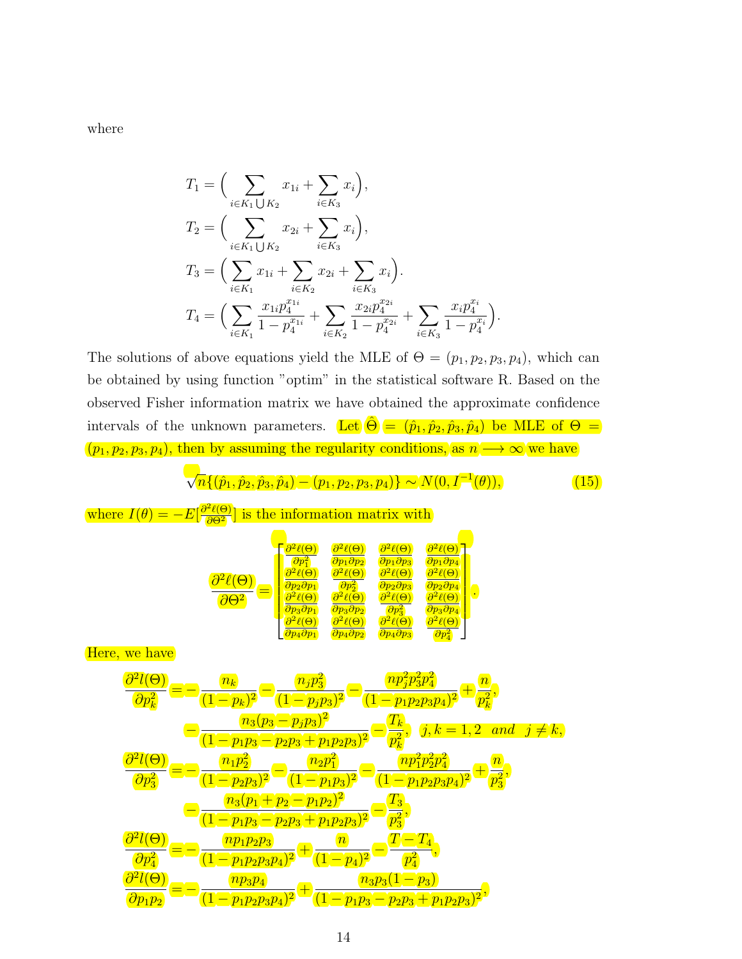where

$$
T_1 = \Big( \sum_{i \in K_1 \cup K_2} x_{1i} + \sum_{i \in K_3} x_i \Big),
$$
  
\n
$$
T_2 = \Big( \sum_{i \in K_1 \cup K_2} x_{2i} + \sum_{i \in K_3} x_i \Big),
$$
  
\n
$$
T_3 = \Big( \sum_{i \in K_1} x_{1i} + \sum_{i \in K_2} x_{2i} + \sum_{i \in K_3} x_i \Big).
$$
  
\n
$$
T_4 = \Big( \sum_{i \in K_1} \frac{x_{1i} p_4^{x_{1i}}}{1 - p_4^{x_{1i}}} + \sum_{i \in K_2} \frac{x_{2i} p_4^{x_{2i}}}{1 - p_4^{x_{2i}}} + \sum_{i \in K_3} \frac{x_{i} p_4^{x_{i}}}{1 - p_4^{x_{i}}} \Big).
$$

The solutions of above equations yield the MLE of  $\Theta = (p_1, p_2, p_3, p_4)$ , which can be obtained by using function "optim" in the statistical software R. Based on the observed Fisher information matrix we have obtained the approximate confidence intervals of the unknown parameters. Let  $\hat{\Theta} = (\hat{p}_1, \hat{p}_2, \hat{p}_3, \hat{p}_4)$  be MLE of  $\Theta =$  $(p_1, p_2, p_3, p_4)$ , then by assuming the regularity conditions, as  $n \longrightarrow \infty$  we have

$$
\sqrt{n}\{(\hat{p}_1, \hat{p}_2, \hat{p}_3, \hat{p}_4) - (p_1, p_2, p_3, p_4)\} \sim N(0, I^{-1}(\theta)),
$$
\n(15)

where 
$$
I(\theta) = -E[\frac{\partial^2 \ell(\Theta)}{\partial \Theta^2}]
$$
 is the information matrix with  
\n
$$
\frac{\partial^2 \ell(\Theta)}{\partial \theta^2} = \frac{\begin{pmatrix} \frac{\partial^2 \ell(\Theta)}{\partial p_1^2} & \frac{\partial^2 \ell(\Theta)}{\partial p_1 \partial p_2} & \frac{\partial^2 \ell(\Theta)}{\partial p_1 \partial p_3} \\ \frac{\partial^2 \ell(\Theta)}{\partial p_2 \partial p_1} & \frac{\partial^2 \ell(\Theta)}{\partial p_2 \partial p_2} & \frac{\partial^2 \ell(\Theta)}{\partial p_2 \partial p_3} \\ \frac{\partial^2 \ell(\Theta)}{\partial p_2 \partial p_1} & \frac{\partial^2 \ell(\Theta)}{\partial p_2 \partial p_2} & \frac{\partial^2 \ell(\Theta)}{\partial p_2 \partial p_3} \\ \frac{\partial^2 \ell(\Theta)}{\partial p_2 \partial p_1} & \frac{\partial^2 \ell(\Theta)}{\partial p_2 \partial p_2} & \frac{\partial^2 \ell(\Theta)}{\partial p_2 \partial p_3} & \frac{\partial^2 \ell(\Theta)}{\partial p_2 \partial p_3} \end{pmatrix}}{\frac{\partial^2 \ell(\Theta)}{\partial p_k^2}} = -\frac{n_k}{(1-p_k)^2} - \frac{n_j p_3^2}{(1-p_j p_3)^2} - \frac{n_j p_2^2 p_3^2}{(1-p_1 p_2 p_3 p_4)^2} + \frac{n_j}{p_k^2},
$$
\n
$$
\frac{\frac{\partial^2 \ell(\Theta)}{\partial p_3^2}}{\frac{\partial p_3}{\partial p_3^2}} = -\frac{n_1 p_2^2}{(1-p_1 p_3 - p_2 p_3 + p_1 p_2 p_3)^2} - \frac{n_j}{p_k^2}, \quad j, k = 1, 2 \quad \text{and} \quad j \neq k,
$$
\n
$$
\frac{\frac{\partial^2 \ell(\Theta)}{\partial p_3^2}}{\frac{\partial p_3}{\partial p_3^2}} = -\frac{n_1 p_2^2}{(1-p_1 p_3 - p_2 p_3 + p_1 p_2 p_3)^2} - \frac{n_j}{(1-p_1 p_2 p_3 p_4)^2} - \frac{n_j}{p_3^2},
$$
\n
$$
\frac{\frac{\partial^2 \ell(\Theta)}{\partial p_3^2}}{\frac{\partial^2 \ell(\Theta)}{\partial p_3^2}} = -
$$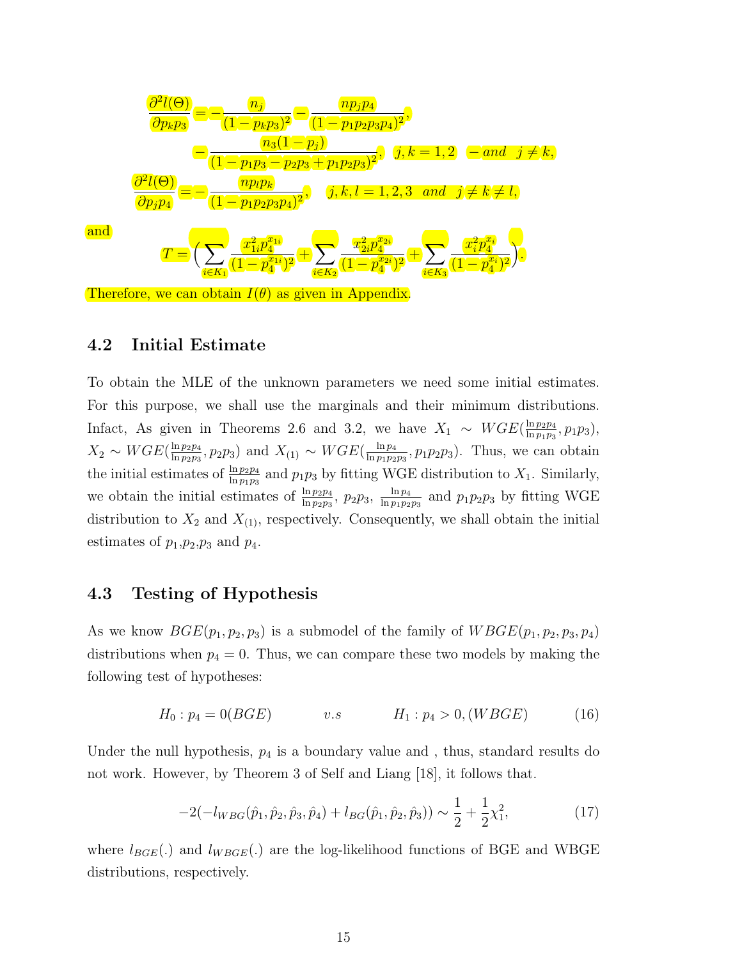$$
\frac{\partial^2 l(\Theta)}{\partial p_k p_3} = -\frac{n_j}{(1 - p_k p_3)^2} - \frac{n p_j p_4}{(1 - p_1 p_2 p_3 p_4)^2},
$$
\n
$$
-\frac{n_3 (1 - p_j)}{(1 - p_1 p_3 - p_2 p_3 + p_1 p_2 p_3)^2}, \quad j, k = 1, 2 \quad - \text{ and } j \neq k,
$$
\n
$$
\frac{\partial^2 l(\Theta)}{\partial p_j p_4} = -\frac{n p_l p_k}{(1 - p_1 p_2 p_3 p_4)^2}, \quad j, k, l = 1, 2, 3 \quad \text{and } j \neq k \neq l,
$$
\nand\n
$$
T = \left(\sum_{i \in K_1} \frac{x_{1i}^2 p_4^{a_{1i}}}{(1 - p_4^{a_{1i}})^2} + \sum_{i \in K_2} \frac{x_{2i}^2 p_4^{a_{2i}}}{(1 - p_4^{a_{2i}})^2} + \sum_{i \in K_3} \frac{x_i^2 p_4^{a_i}}{(1 - p_4^{a_i})^2}\right).
$$
\nTherefore, we can obtain  $I(\theta)$  as given in Appendix.

#### 4.2 Initial Estimate

To obtain the MLE of the unknown parameters we need some initial estimates. For this purpose, we shall use the marginals and their minimum distributions. Infact, As given in Theorems 2.6 and 3.2, we have  $X_1 \sim WGE(\frac{\ln p_2 p_4}{\ln p_1 p_2})$  $\frac{\ln p_2 p_4}{\ln p_1 p_3}, p_1 p_3$ ),  $X_2 \sim WGE(\frac{\ln p_2p_4}{\ln p_2p_2})$  $\frac{\ln p_2p_4}{\ln p_2p_3}$ ,  $p_2p_3$ ) and  $X_{(1)} \sim WGE(\frac{\ln p_4}{\ln p_1p_2})$  $\frac{\ln p_4}{\ln p_1 p_2 p_3}$ ,  $p_1 p_2 p_3$ ). Thus, we can obtain the initial estimates of  $\frac{\ln p_2 p_4}{\ln p_1 p_3}$  and  $p_1 p_3$  by fitting WGE distribution to  $X_1$ . Similarly, we obtain the initial estimates of  $\frac{\ln p_2p_4}{\ln p_2p_3}$ ,  $p_2p_3$ ,  $\frac{\ln p_4}{\ln p_1p_2}$  $\frac{\ln p_4}{\ln p_1 p_2 p_3}$  and  $p_1 p_2 p_3$  by fitting WGE distribution to  $X_2$  and  $X_{(1)}$ , respectively. Consequently, we shall obtain the initial estimates of  $p_1,p_2,p_3$  and  $p_4$ .

#### 4.3 Testing of Hypothesis

As we know  $BGE(p_1, p_2, p_3)$  is a submodel of the family of  $WBGE(p_1, p_2, p_3, p_4)$ distributions when  $p_4 = 0$ . Thus, we can compare these two models by making the following test of hypotheses:

$$
H_0: p_4 = 0(BGE) \t v.s \t H_1: p_4 > 0, (WBGE) \t (16)
$$

Under the null hypothesis,  $p_4$  is a boundary value and, thus, standard results do not work. However, by Theorem 3 of Self and Liang [18], it follows that.

$$
-2(-l_{WBG}(\hat{p}_1, \hat{p}_2, \hat{p}_3, \hat{p}_4) + l_{BG}(\hat{p}_1, \hat{p}_2, \hat{p}_3)) \sim \frac{1}{2} + \frac{1}{2}\chi_1^2,
$$
\n(17)

where  $l_{BGE}(.)$  and  $l_{W BGE}(.)$  are the log-likelihood functions of BGE and WBGE distributions, respectively.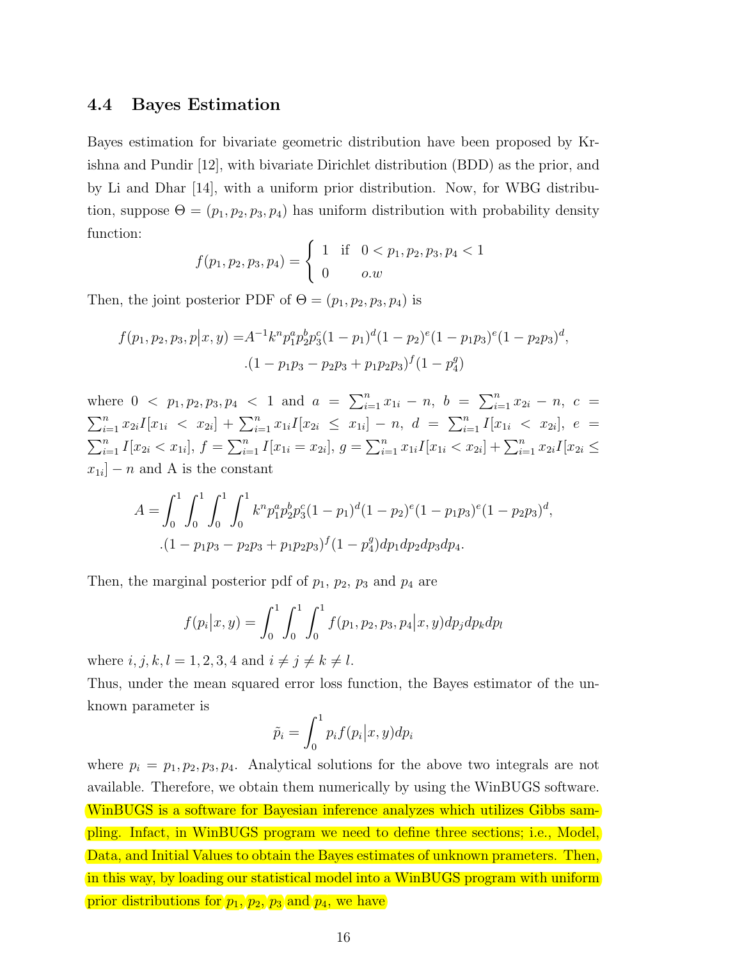#### 4.4 Bayes Estimation

Bayes estimation for bivariate geometric distribution have been proposed by Krishna and Pundir [12], with bivariate Dirichlet distribution (BDD) as the prior, and by Li and Dhar [14], with a uniform prior distribution. Now, for WBG distribution, suppose  $\Theta = (p_1, p_2, p_3, p_4)$  has uniform distribution with probability density function:

$$
f(p_1, p_2, p_3, p_4) = \begin{cases} 1 & \text{if } 0 < p_1, p_2, p_3, p_4 < 1 \\ 0 & o.w \end{cases}
$$

Then, the joint posterior PDF of  $\Theta = (p_1, p_2, p_3, p_4)$  is

$$
f(p_1, p_2, p_3, p | x, y) = A^{-1} k^n p_1^a p_2^b p_3^c (1 - p_1)^d (1 - p_2)^e (1 - p_1 p_3)^e (1 - p_2 p_3)^d,
$$
  
. 
$$
(1 - p_1 p_3 - p_2 p_3 + p_1 p_2 p_3)^f (1 - p_4^g)
$$

where  $0 \le p_1, p_2, p_3, p_4 \le 1$  and  $a = \sum_{i=1}^n x_{1i} - n$ ,  $b = \sum_{i=1}^n x_{2i} - n$ ,  $c =$  $\sum_{i=1}^{n} x_{2i} I[x_{1i} \leq x_{2i}] + \sum_{i=1}^{n} x_{1i} I[x_{2i} \leq x_{1i}] - n, d = \sum_{i=1}^{n} I[x_{1i} \leq x_{2i}], e =$  $\sum_{i=1}^n I[x_{2i} < x_{1i}],$   $f = \sum_{i=1}^n I[x_{1i} = x_{2i}],$   $g = \sum_{i=1}^n x_{1i}I[x_{1i} < x_{2i}] + \sum_{i=1}^n x_{2i}I[x_{2i} \leq$  $x_{1i}$  – n and A is the constant

$$
A = \int_0^1 \int_0^1 \int_0^1 \int_0^1 k^n p_1^a p_2^b p_3^c (1 - p_1)^d (1 - p_2)^e (1 - p_1 p_3)^e (1 - p_2 p_3)^d,
$$
  
. 
$$
(1 - p_1 p_3 - p_2 p_3 + p_1 p_2 p_3)^f (1 - p_4^g) dp_1 dp_2 dp_3 dp_4.
$$

Then, the marginal posterior pdf of  $p_1$ ,  $p_2$ ,  $p_3$  and  $p_4$  are

$$
f(p_i|x,y) = \int_0^1 \int_0^1 \int_0^1 f(p_1, p_2, p_3, p_4|x,y) dp_j dp_k dp_l
$$

where  $i, j, k, l = 1, 2, 3, 4$  and  $i \neq j \neq k \neq l$ .

Thus, under the mean squared error loss function, the Bayes estimator of the unknown parameter is

$$
\tilde{p}_i = \int_0^1 p_i f(p_i | x, y) dp_i
$$

where  $p_i = p_1, p_2, p_3, p_4$ . Analytical solutions for the above two integrals are not available. Therefore, we obtain them numerically by using the WinBUGS software. WinBUGS is a software for Bayesian inference analyzes which utilizes Gibbs sampling. Infact, in WinBUGS program we need to define three sections; i.e., Model, Data, and Initial Values to obtain the Bayes estimates of unknown prameters. Then, in this way, by loading our statistical model into a WinBUGS program with uniform prior distributions for  $p_1, p_2, p_3$  and  $p_4$ , we have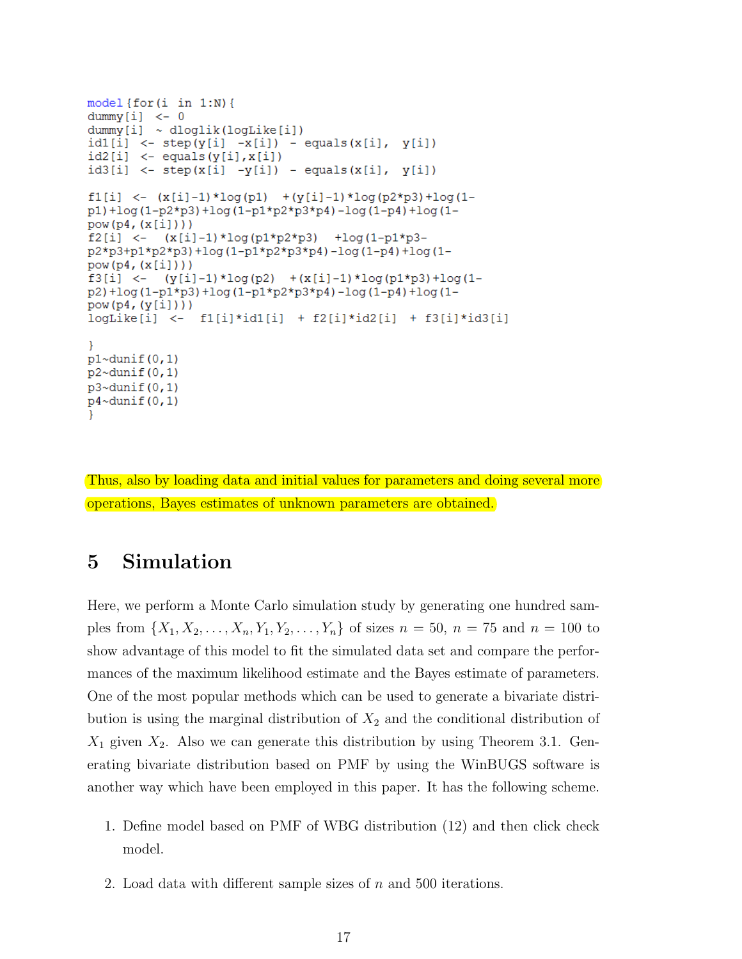```
model {for(i in 1:N)}dummy[i] < - 0dummy[i] ~ ~ dloglik(logLike[i])id1[i] <- step(y[i] -x[i]) - equals(x[i], y[i])
id2[i] < -equals(y[i], x[i])id3[i] < - step(x[i] - y[i]) - equals(x[i], y[i])f1[i] \leftarrow (x[i]-1) * log(p1) + (y[i]-1) * log(p2*p3) + log(1-p1 + log (1-p2*p3) + log (1-p1*p2*p3*p4) - log (1-p4) + log (1-
pow(p4, (x[i]))f2[i] <-
           (x[i]-1) * log(p1*p2*p3) + log(1-p1*p3-p2*p3+p1*p2*p3)+log(1-p1*p2*p3*p4)-log(1-p4)+log(1-
pow(p4, (x[i]))(y[i]-1) * log(p2)  +(x[i]-1) * log(p1*p3) + log(1-f3[i] < -p2)+log(1-p1*p3)+log(1-p1*p2*p3*p4)-log(1-p4)+log(1-
pow(p4, (y[i]))logLike[i] < -f1[i]*id1[i] + f2[i]*id2[i] + f3[i]*id3[i]Þ
p1~dunif(0,1)p2~dunif (0, 1)p3~dunif(0,1)
p4 \simdunif(0, 1)ł
```
Thus, also by loading data and initial values for parameters and doing several more operations, Bayes estimates of unknown parameters are obtained.

# 5 Simulation

Here, we perform a Monte Carlo simulation study by generating one hundred samples from  $\{X_1, X_2, \ldots, X_n, Y_1, Y_2, \ldots, Y_n\}$  of sizes  $n = 50$ ,  $n = 75$  and  $n = 100$  to show advantage of this model to fit the simulated data set and compare the performances of the maximum likelihood estimate and the Bayes estimate of parameters. One of the most popular methods which can be used to generate a bivariate distribution is using the marginal distribution of  $X_2$  and the conditional distribution of  $X_1$  given  $X_2$ . Also we can generate this distribution by using Theorem 3.1. Generating bivariate distribution based on PMF by using the WinBUGS software is another way which have been employed in this paper. It has the following scheme.

- 1. Define model based on PMF of WBG distribution (12) and then click check model.
- 2. Load data with different sample sizes of  $n$  and 500 iterations.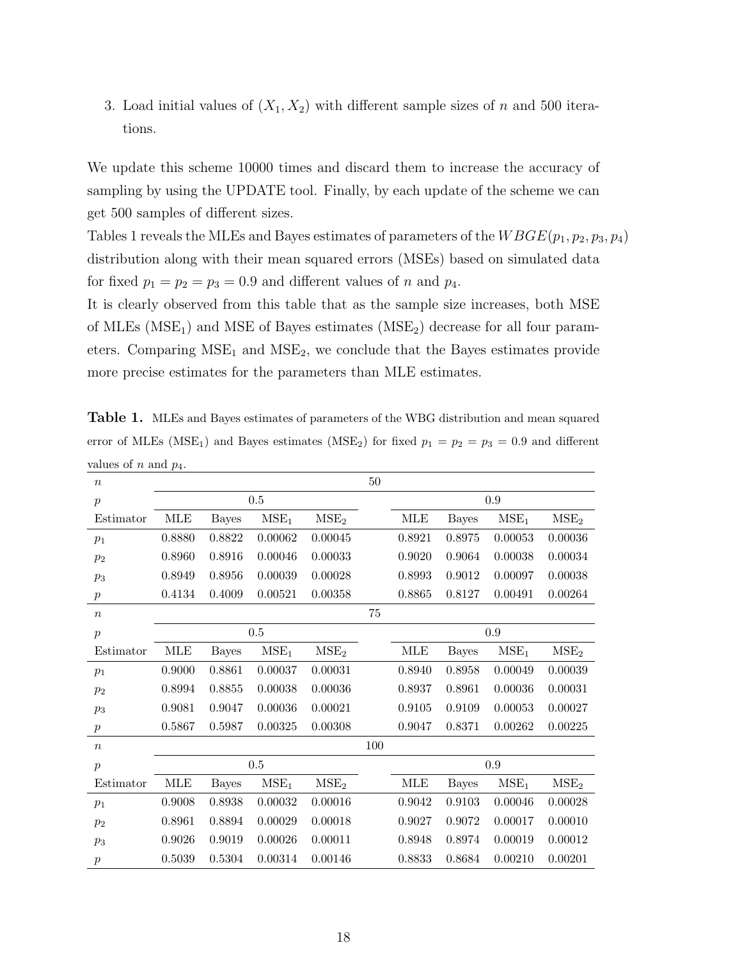3. Load initial values of  $(X_1, X_2)$  with different sample sizes of n and 500 iterations.

We update this scheme 10000 times and discard them to increase the accuracy of sampling by using the UPDATE tool. Finally, by each update of the scheme we can get 500 samples of different sizes.

Tables 1 reveals the MLEs and Bayes estimates of parameters of the  $WBGE(p_1, p_2, p_3, p_4)$ distribution along with their mean squared errors (MSEs) based on simulated data for fixed  $p_1 = p_2 = p_3 = 0.9$  and different values of n and  $p_4$ .

It is clearly observed from this table that as the sample size increases, both MSE of MLEs  $(MSE<sub>1</sub>)$  and MSE of Bayes estimates  $(MSE<sub>2</sub>)$  decrease for all four parameters. Comparing  $MSE<sub>1</sub>$  and  $MSE<sub>2</sub>$ , we conclude that the Bayes estimates provide more precise estimates for the parameters than MLE estimates.

Table 1. MLEs and Bayes estimates of parameters of the WBG distribution and mean squared error of MLEs (MSE<sub>1</sub>) and Bayes estimates (MSE<sub>2</sub>) for fixed  $p_1 = p_2 = p_3 = 0.9$  and different values of n and  $p_4$ .

| $\boldsymbol{n}$ | rт         |              |                  |                  | 50     |            |              |                  |                  |  |
|------------------|------------|--------------|------------------|------------------|--------|------------|--------------|------------------|------------------|--|
| $\mathcal{P}$    | 0.5        |              |                  |                  |        | 0.9        |              |                  |                  |  |
| Estimator        | <b>MLE</b> | <b>Bayes</b> | MSE <sub>1</sub> | MSE <sub>2</sub> |        | <b>MLE</b> | <b>Bayes</b> | MSE <sub>1</sub> | MSE <sub>2</sub> |  |
| $p_1$            | 0.8880     | 0.8822       | 0.00062          | 0.00045          |        | 0.8921     | 0.8975       | 0.00053          | 0.00036          |  |
| $p_2$            | 0.8960     | 0.8916       | 0.00046          | 0.00033          |        | 0.9020     | 0.9064       | 0.00038          | 0.00034          |  |
| $p_3$            | 0.8949     | 0.8956       | 0.00039          | 0.00028          |        | 0.8993     | 0.9012       | 0.00097          | 0.00038          |  |
| $\,p\,$          | 0.4134     | 0.4009       | 0.00521          | 0.00358          |        | 0.8865     | 0.8127       | 0.00491          | 0.00264          |  |
| $\boldsymbol{n}$ |            |              |                  |                  | $75\,$ |            |              |                  |                  |  |
| $\mathcal{P}$    | 0.5        |              |                  |                  |        | 0.9        |              |                  |                  |  |
| Estimator        | <b>MLE</b> | <b>Bayes</b> | MSE <sub>1</sub> | MSE <sub>2</sub> |        | MLE        | <b>Bayes</b> | MSE <sub>1</sub> | MSE <sub>2</sub> |  |
| $p_1$            | 0.9000     | 0.8861       | 0.00037          | 0.00031          |        | 0.8940     | 0.8958       | 0.00049          | 0.00039          |  |
| $p_2$            | 0.8994     | 0.8855       | 0.00038          | 0.00036          |        | 0.8937     | 0.8961       | 0.00036          | 0.00031          |  |
| $p_3$            | 0.9081     | 0.9047       | 0.00036          | 0.00021          |        | 0.9105     | 0.9109       | 0.00053          | 0.00027          |  |
| $\boldsymbol{p}$ | 0.5867     | 0.5987       | 0.00325          | 0.00308          |        | 0.9047     | 0.8371       | 0.00262          | 0.00225          |  |
| $\boldsymbol{n}$ |            |              |                  |                  | 100    |            |              |                  |                  |  |
| $\mathcal{P}$    | $0.5\,$    |              |                  |                  |        | 0.9        |              |                  |                  |  |
| Estimator        | MLE        | <b>Bayes</b> | MSE <sub>1</sub> | MSE <sub>2</sub> |        | <b>MLE</b> | <b>Bayes</b> | MSE <sub>1</sub> | MSE <sub>2</sub> |  |
| $p_1$            | 0.9008     | 0.8938       | 0.00032          | 0.00016          |        | 0.9042     | 0.9103       | 0.00046          | 0.00028          |  |
| $p_2$            | 0.8961     | 0.8894       | 0.00029          | 0.00018          |        | 0.9027     | 0.9072       | 0.00017          | 0.00010          |  |
| $p_3$            | 0.9026     | 0.9019       | 0.00026          | 0.00011          |        | 0.8948     | 0.8974       | 0.00019          | 0.00012          |  |
| $\boldsymbol{p}$ | 0.5039     | 0.5304       | 0.00314          | 0.00146          |        | 0.8833     | 0.8684       | 0.00210          | 0.00201          |  |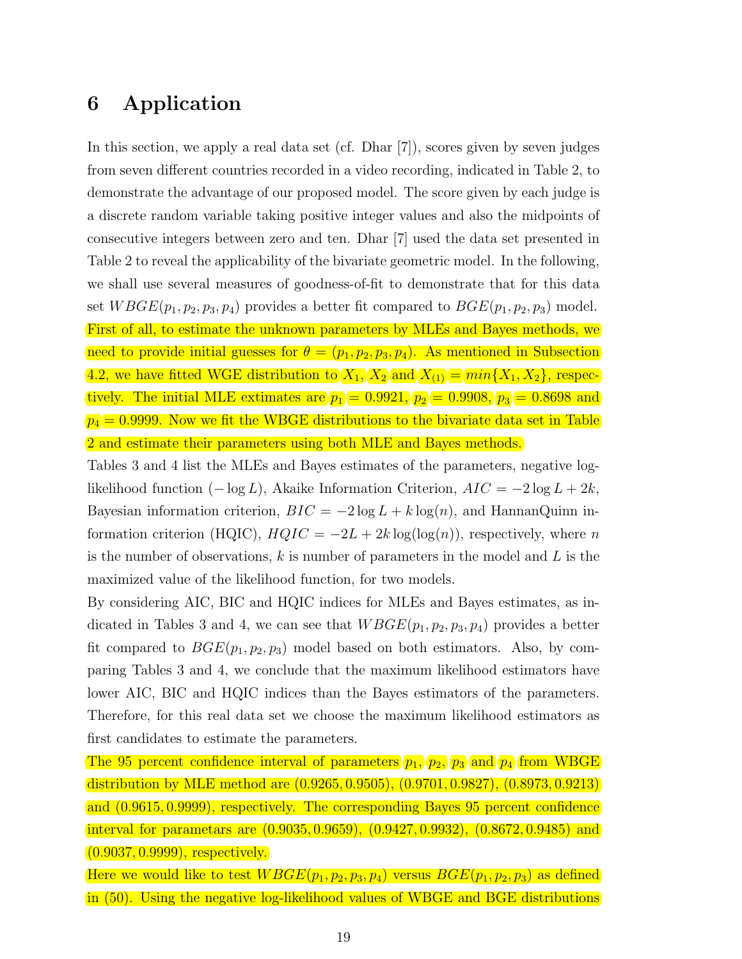# 6 Application

In this section, we apply a real data set (cf. Dhar [7]), scores given by seven judges from seven different countries recorded in a video recording, indicated in Table 2, to demonstrate the advantage of our proposed model. The score given by each judge is a discrete random variable taking positive integer values and also the midpoints of consecutive integers between zero and ten. Dhar [7] used the data set presented in Table 2 to reveal the applicability of the bivariate geometric model. In the following, we shall use several measures of goodness-of-fit to demonstrate that for this data set  $W BGE(p_1, p_2, p_3, p_4)$  provides a better fit compared to  $BGE(p_1, p_2, p_3)$  model. First of all, to estimate the unknown parameters by MLEs and Bayes methods, we need to provide initial guesses for  $\theta = (p_1, p_2, p_3, p_4)$ . As mentioned in Subsection 4.2, we have fitted WGE distribution to  $X_1, X_2$  and  $X_{(1)} = min\{X_1, X_2\}$ , respectively. The initial MLE extimates are  $p_1 = 0.9921, p_2 = 0.9908, p_3 = 0.8698$  and  $p_4 = 0.9999$ . Now we fit the WBGE distributions to the bivariate data set in Table 2 and estimate their parameters using both MLE and Bayes methods.

Tables 3 and 4 list the MLEs and Bayes estimates of the parameters, negative loglikelihood function  $(-\log L)$ , Akaike Information Criterion,  $AIC = -2\log L + 2k$ , Bayesian information criterion,  $BIC = -2 \log L + k \log(n)$ , and HannanQuinn information criterion (HQIC),  $HQIC = -2L + 2k \log(\log(n))$ , respectively, where n is the number of observations,  $k$  is number of parameters in the model and  $L$  is the maximized value of the likelihood function, for two models.

By considering AIC, BIC and HQIC indices for MLEs and Bayes estimates, as indicated in Tables 3 and 4, we can see that  $W BGE(p_1, p_2, p_3, p_4)$  provides a better fit compared to  $BGE(p_1, p_2, p_3)$  model based on both estimators. Also, by comparing Tables 3 and 4, we conclude that the maximum likelihood estimators have lower AIC, BIC and HQIC indices than the Bayes estimators of the parameters. Therefore, for this real data set we choose the maximum likelihood estimators as first candidates to estimate the parameters.

The 95 percent confidence interval of parameters  $(p_1, p_2, p_3)$  and  $(p_4)$  from WBGE distribution by MLE method are (0.9265, 0.9505), (0.9701, 0.9827), (0.8973, 0.9213) and (0.9615, 0.9999), respectively. The corresponding Bayes 95 percent confidence interval for parametars are (0.9035, 0.9659), (0.9427, 0.9932), (0.8672, 0.9485) and  $(0.9037, 0.9999)$ , respectively.

Here we would like to test  $WBE(p_1, p_2, p_3, p_4)$  versus  $BGE(p_1, p_2, p_3)$  as defined in (50). Using the negative log-likelihood values of WBGE and BGE distributions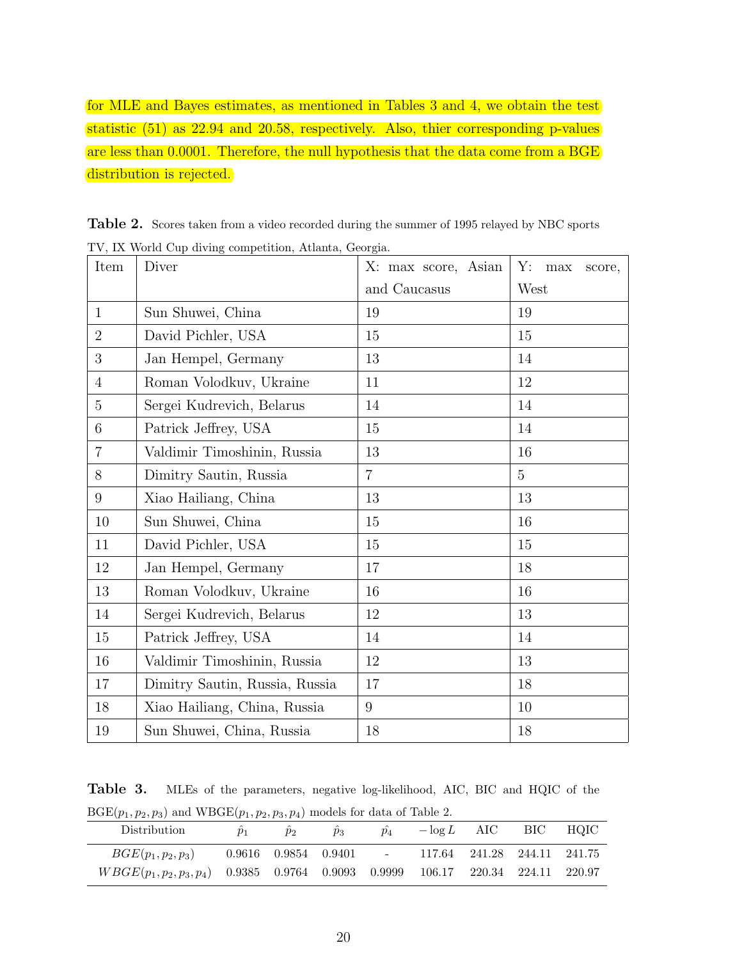for MLE and Bayes estimates, as mentioned in Tables 3 and 4, we obtain the test statistic (51) as 22.94 and 20.58, respectively. Also, thier corresponding p-values are less than 0.0001. Therefore, the null hypothesis that the data come from a BGE distribution is rejected.

| Item            | 1 v, 12 world Oup drying competition, Attaina, Georgia.<br>Diver | X: max score, Asian | Y:<br>max<br>score, |
|-----------------|------------------------------------------------------------------|---------------------|---------------------|
|                 |                                                                  | and Caucasus        | West                |
| 1               | Sun Shuwei, China                                                | 19                  | 19                  |
| $\overline{2}$  | David Pichler, USA                                               | 15                  | 15                  |
| 3               | Jan Hempel, Germany                                              | 13                  | 14                  |
| $\overline{4}$  | Roman Volodkuv, Ukraine                                          | 11                  | 12                  |
| $\overline{5}$  | Sergei Kudrevich, Belarus                                        | 14                  | 14                  |
| $6\phantom{.}6$ | Patrick Jeffrey, USA                                             | 15                  | 14                  |
| $\overline{7}$  | Valdimir Timoshinin, Russia                                      | 13                  | 16                  |
| 8               | Dimitry Sautin, Russia                                           | $\overline{7}$      | $\overline{5}$      |
| 9               | Xiao Hailiang, China                                             | 13                  | 13                  |
| 10              | Sun Shuwei, China                                                | 15                  | 16                  |
| 11              | David Pichler, USA                                               | 15                  | 15                  |
| 12              | Jan Hempel, Germany                                              | 17                  | 18                  |
| 13              | Roman Volodkuv, Ukraine                                          | 16                  | 16                  |
| 14              | Sergei Kudrevich, Belarus                                        | 12                  | 13                  |
| 15              | Patrick Jeffrey, USA                                             | 14                  | 14                  |
| 16              | Valdimir Timoshinin, Russia                                      | 12                  | 13                  |
| 17              | Dimitry Sautin, Russia, Russia                                   | 17                  | 18                  |
| 18              | Xiao Hailiang, China, Russia                                     | 9                   | 10                  |
| 19              | Sun Shuwei, China, Russia                                        | 18                  | 18                  |

Table 2. Scores taken from a video recorded during the summer of 1995 relayed by NBC sports TV, IX World Cup diving competition, Atlanta, Georgia.

Table 3. MLEs of the parameters, negative log-likelihood, AIC, BIC and HQIC of the  $BGE(p_1, p_2, p_3)$  and  $WBGE(p_1, p_2, p_3, p_4)$  models for data of Table 2.

| <b>Distribution</b>                                                                | $p_1$ | $p_2$ | $\ddot{p}_3$ | $\ddot{p}_4$ |                                                                  | $-\log L$ AIC | BIC | HOIC – |
|------------------------------------------------------------------------------------|-------|-------|--------------|--------------|------------------------------------------------------------------|---------------|-----|--------|
| $BGE(p_1, p_2, p_3)$                                                               |       |       |              |              | $0.9616$ $0.9854$ $0.9401$ - $117.64$ $241.28$ $244.11$ $241.75$ |               |     |        |
| $WBGE(p_1, p_2, p_3, p_4)$ 0.9385 0.9764 0.9093 0.9999 106.17 220.34 224.11 220.97 |       |       |              |              |                                                                  |               |     |        |
|                                                                                    |       |       |              |              |                                                                  |               |     |        |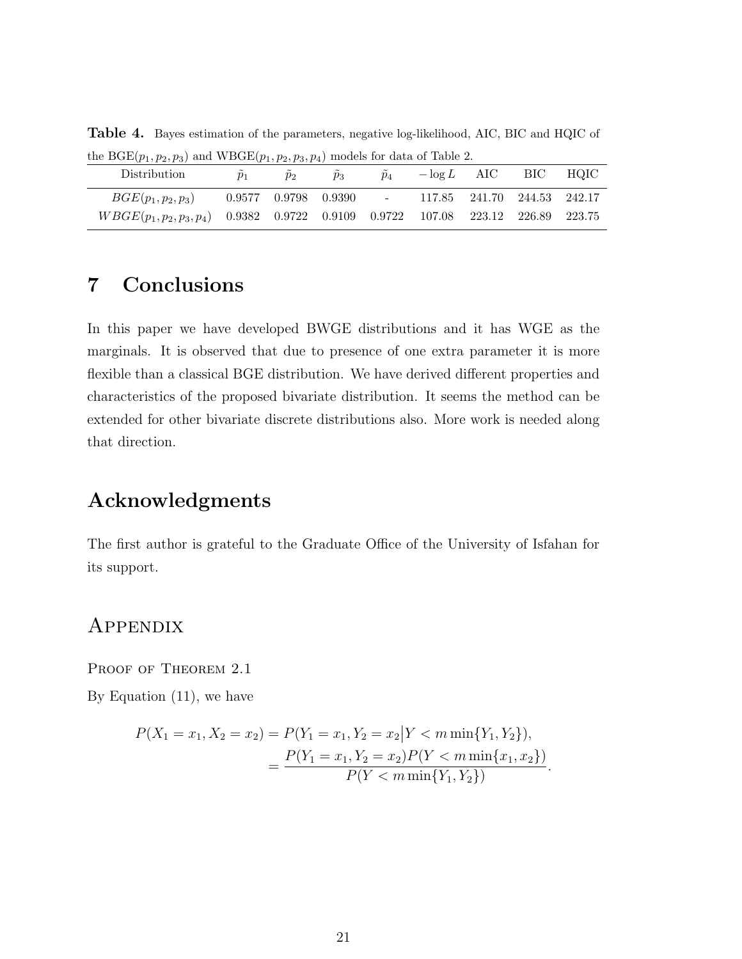| Distribution                                                                       | $p_1$ | $p_2$ | $p_3$ | $p_4$ |                                                                 | $-\log L$ AIC | BIC HQIC |
|------------------------------------------------------------------------------------|-------|-------|-------|-------|-----------------------------------------------------------------|---------------|----------|
| $BGE(p_1, p_2, p_3)$                                                               |       |       |       |       | $0.9577$ $0.9798$ $0.9390$ $ 117.85$ $241.70$ $244.53$ $242.17$ |               |          |
| $WBGE(p_1, p_2, p_3, p_4)$ 0.9382 0.9722 0.9109 0.9722 107.08 223.12 226.89 223.75 |       |       |       |       |                                                                 |               |          |

Table 4. Bayes estimation of the parameters, negative log-likelihood, AIC, BIC and HQIC of the BGE( $p_1, p_2, p_3$ ) and WBGE( $p_1, p_2, p_3, p_4$ ) models for data of Table 2.

# 7 Conclusions

In this paper we have developed BWGE distributions and it has WGE as the marginals. It is observed that due to presence of one extra parameter it is more flexible than a classical BGE distribution. We have derived different properties and characteristics of the proposed bivariate distribution. It seems the method can be extended for other bivariate discrete distributions also. More work is needed along that direction.

# Acknowledgments

The first author is grateful to the Graduate Office of the University of Isfahan for its support.

### **APPENDIX**

PROOF OF THEOREM 2.1

By Equation (11), we have

$$
P(X_1 = x_1, X_2 = x_2) = P(Y_1 = x_1, Y_2 = x_2 | Y < m \min\{Y_1, Y_2\}),
$$
\n
$$
= \frac{P(Y_1 = x_1, Y_2 = x_2) P(Y < m \min\{x_1, x_2\})}{P(Y < m \min\{Y_1, Y_2\})}.
$$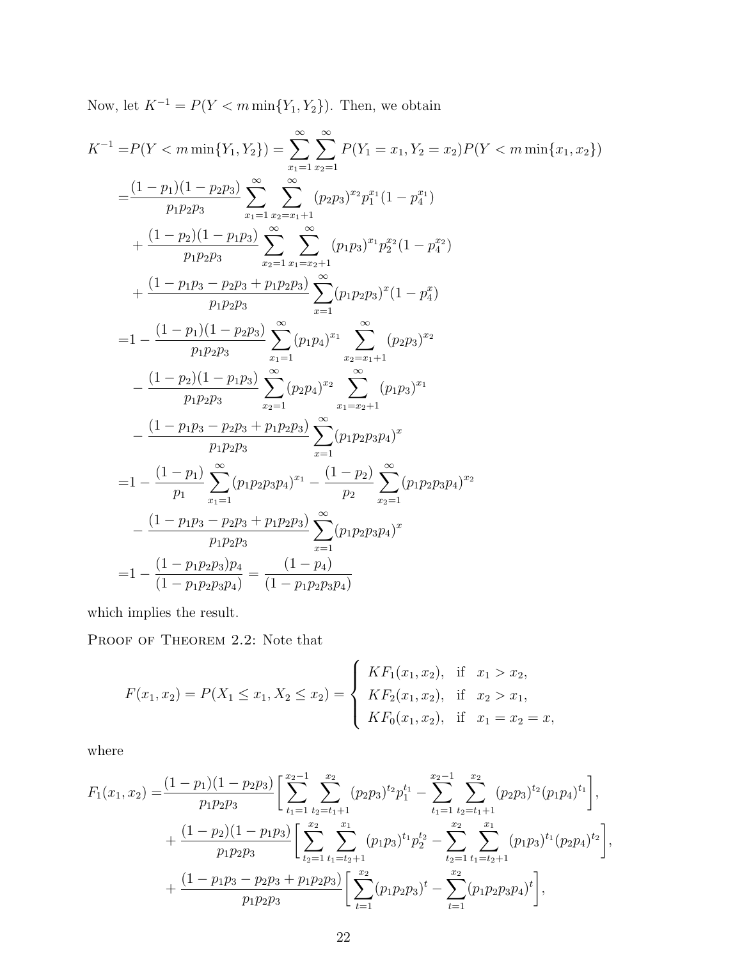Now, let  $K^{-1} = P(Y < m \min\{Y_1, Y_2\})$ . Then, we obtain

$$
K^{-1} = P(Y < m \min\{Y_1, Y_2\}) = \sum_{x_1=1}^{\infty} \sum_{x_2=1}^{\infty} P(Y_1 = x_1, Y_2 = x_2) P(Y < m \min\{x_1, x_2\})
$$
\n
$$
= \frac{(1-p_1)(1-p_2p_3)}{p_1p_2p_3} \sum_{x_1=1}^{\infty} \sum_{x_2=x_1+1}^{\infty} (p_2p_3)^{x_2} p_1^{x_1} (1-p_4^{x_1})
$$
\n
$$
+ \frac{(1-p_2)(1-p_1p_3)}{p_1p_2p_3} \sum_{x_2=1}^{\infty} \sum_{x_1=x_2+1}^{\infty} (p_1p_3)^{x_1} p_2^{x_2} (1-p_4^{x_2})
$$
\n
$$
+ \frac{(1-p_1p_3 - p_2p_3 + p_1p_2p_3)}{p_1p_2p_3} \sum_{x_1=1}^{\infty} (p_1p_2p_3)^{x_1} (1-p_4^x)
$$
\n
$$
= 1 - \frac{(1-p_1)(1-p_2p_3)}{p_1p_2p_3} \sum_{x_1=1}^{\infty} (p_2p_4)^{x_1} \sum_{x_1=x_2+1}^{\infty} (p_2p_3)^{x_2}
$$
\n
$$
- \frac{(1-p_2)(1-p_1p_3)}{p_1p_2p_3} \sum_{x_2=1}^{\infty} (p_2p_4)^{x_2} \sum_{x_1=x_2+1}^{\infty} (p_1p_3)^{x_1}
$$
\n
$$
= 1 - \frac{(1-p_1)}{p_1} \sum_{x_1=1}^{\infty} (p_1p_2p_3p_4)^{x_1} - \frac{(1-p_2)}{p_2} \sum_{x_2=1}^{\infty} (p_1p_2p_3p_4)^{x_2}
$$
\n
$$
- \frac{(1-p_1p_3 - p_2p_3 + p_1p_2p_3)}{p_1p_2p_3} \sum_{x=1}^{\infty} (p_1p_2p_3p_4)^{x_2}
$$
\n

which implies the result.

PROOF OF THEOREM 2.2: Note that

$$
F(x_1, x_2) = P(X_1 \le x_1, X_2 \le x_2) = \begin{cases} K F_1(x_1, x_2), & \text{if } x_1 > x_2, \\ K F_2(x_1, x_2), & \text{if } x_2 > x_1, \\ K F_0(x_1, x_2), & \text{if } x_1 = x_2 = x, \end{cases}
$$

where

$$
F_1(x_1, x_2) = \frac{(1-p_1)(1-p_2p_3)}{p_1p_2p_3} \left[ \sum_{t_1=1}^{x_2-1} \sum_{t_2=t_1+1}^{x_2} (p_2p_3)^{t_2} p_1^{t_1} - \sum_{t_1=1}^{x_2-1} \sum_{t_2=t_1+1}^{x_2} (p_2p_3)^{t_2} (p_1p_4)^{t_1} \right],
$$
  
+ 
$$
\frac{(1-p_2)(1-p_1p_3)}{p_1p_2p_3} \left[ \sum_{t_2=1}^{x_2} \sum_{t_1=t_2+1}^{x_1} (p_1p_3)^{t_1} p_2^{t_2} - \sum_{t_2=1}^{x_2} \sum_{t_1=t_2+1}^{x_1} (p_1p_3)^{t_1} (p_2p_4)^{t_2} \right],
$$
  
+ 
$$
\frac{(1-p_1p_3-p_2p_3+p_1p_2p_3)}{p_1p_2p_3} \left[ \sum_{t=1}^{x_2} (p_1p_2p_3)^{t} - \sum_{t=1}^{x_2} (p_1p_2p_3p_4)^{t} \right],
$$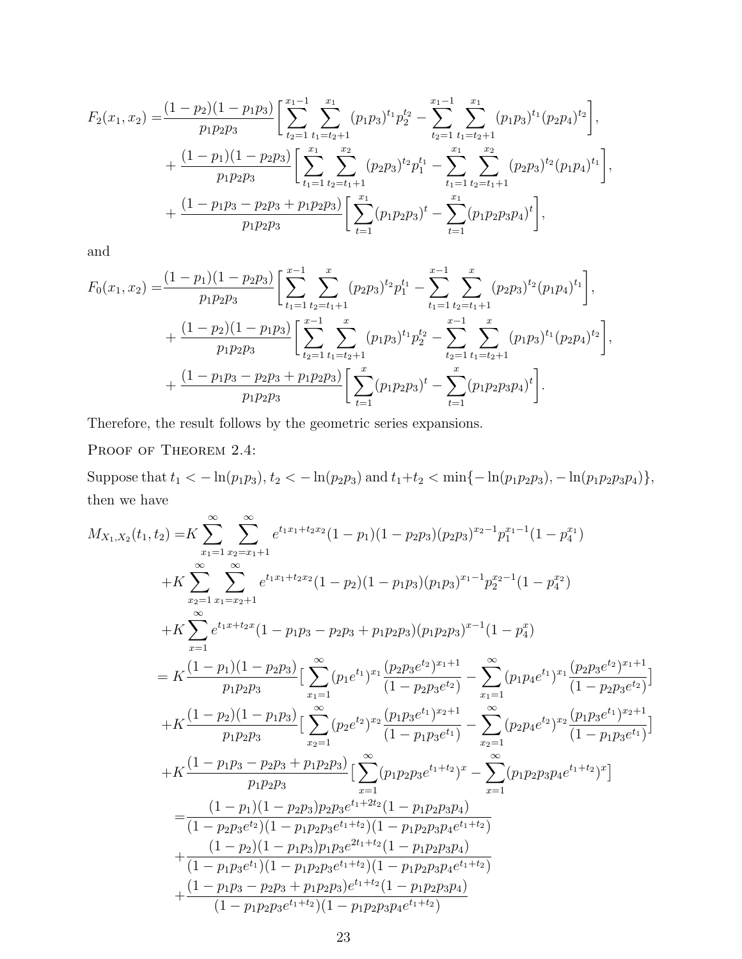$$
F_2(x_1, x_2) = \frac{(1 - p_2)(1 - p_1p_3)}{p_1p_2p_3} \left[ \sum_{t_2=1}^{x_1-1} \sum_{t_1=t_2+1}^{x_1} (p_1p_3)^{t_1} p_2^{t_2} - \sum_{t_2=1}^{x_1-1} \sum_{t_1=t_2+1}^{x_1} (p_1p_3)^{t_1} (p_2p_4)^{t_2} \right],
$$
  
+ 
$$
\frac{(1 - p_1)(1 - p_2p_3)}{p_1p_2p_3} \left[ \sum_{t_1=1}^{x_1} \sum_{t_2=t_1+1}^{x_2} (p_2p_3)^{t_2} p_1^{t_1} - \sum_{t_1=1}^{x_1} \sum_{t_2=t_1+1}^{x_2} (p_2p_3)^{t_2} (p_1p_4)^{t_1} \right],
$$
  
+ 
$$
\frac{(1 - p_1p_3 - p_2p_3 + p_1p_2p_3)}{p_1p_2p_3} \left[ \sum_{t=1}^{x_1} (p_1p_2p_3)^{t} - \sum_{t=1}^{x_1} (p_1p_2p_3p_4)^{t} \right],
$$

and

$$
F_0(x_1, x_2) = \frac{(1 - p_1)(1 - p_2p_3)}{p_1p_2p_3} \left[ \sum_{t_1=1}^{x-1} \sum_{t_2=t_1+1}^{x} (p_2p_3)^{t_2} p_1^{t_1} - \sum_{t_1=1}^{x-1} \sum_{t_2=t_1+1}^{x} (p_2p_3)^{t_2} (p_1p_4)^{t_1} \right],
$$
  
+ 
$$
\frac{(1 - p_2)(1 - p_1p_3)}{p_1p_2p_3} \left[ \sum_{t_2=1}^{x-1} \sum_{t_1=t_2+1}^{x} (p_1p_3)^{t_1} p_2^{t_2} - \sum_{t_2=1}^{x-1} \sum_{t_1=t_2+1}^{x} (p_1p_3)^{t_1} (p_2p_4)^{t_2} \right],
$$
  
+ 
$$
\frac{(1 - p_1p_3 - p_2p_3 + p_1p_2p_3)}{p_1p_2p_3} \left[ \sum_{t=1}^{x} (p_1p_2p_3)^{t} - \sum_{t=1}^{x} (p_1p_2p_3p_4)^{t} \right].
$$

Therefore, the result follows by the geometric series expansions.

PROOF OF THEOREM 2.4:

Suppose that  $t_1 < -\ln(p_1p_3)$ ,  $t_2 < -\ln(p_2p_3)$  and  $t_1+t_2 < \min\{-\ln(p_1p_2p_3)$ ,  $-\ln(p_1p_2p_3p_4)\}$ , then we have

$$
M_{X_1,X_2}(t_1,t_2) = K \sum_{x_1=1}^{\infty} \sum_{x_2=x_1+1}^{\infty} e^{t_1x_1+t_2x_2} (1-p_1)(1-p_2p_3)(p_2p_3)^{x_2-1} p_1^{x_1-1} (1-p_4^{x_1})
$$
  
\n
$$
+ K \sum_{x_2=1}^{\infty} \sum_{x_1=x_2+1}^{\infty} e^{t_1x_1+t_2x_2} (1-p_2)(1-p_1p_3)(p_1p_3)^{x_1-1} p_2^{x_2-1} (1-p_4^{x_2})
$$
  
\n
$$
+ K \sum_{x=1}^{\infty} e^{t_1x+t_2x} (1-p_1p_3-p_2p_3+p_1p_2p_3)(p_1p_2p_3)^{x-1} (1-p_4^{x})
$$
  
\n
$$
= K \frac{(1-p_1)(1-p_2p_3)}{p_1p_2p_3} \Big[ \sum_{x_1=1}^{\infty} (p_1e^{t_1})^{x_1} \frac{(p_2p_3e^{t_2})^{x_1+1}}{(1-p_2p_3e^{t_2}} - \sum_{x_1=1}^{\infty} (p_1p_4e^{t_1})^{x_1} \frac{(p_2p_3e^{t_2})^{x_1+1}}{(1-p_2p_3e^{t_2}}) \Big]
$$
  
\n
$$
+ K \frac{(1-p_2)(1-p_1p_3)}{p_1p_2p_3} \Big[ \sum_{x_2=1}^{\infty} (p_2e^{t_2})^{x_2} \frac{(p_1p_3e^{t_1})^{x_2+1}}{(1-p_1p_3e^{t_1}} - \sum_{x_2=1}^{\infty} (p_2p_4e^{t_2})^{x_2} \frac{(p_1p_3e^{t_1})^{x_2+1}}{(1-p_1p_3e^{t_1}}) \Big]
$$
  
\n
$$
+ K \frac{(1-p_1p_3-p_2p_3+p_1p_2p_3)}{p_1p_2p_3} \Big[ \sum_{x=1}^{\infty} (p_1p_2p_3e^{t_1+t_2})^{x} - \sum_{x
$$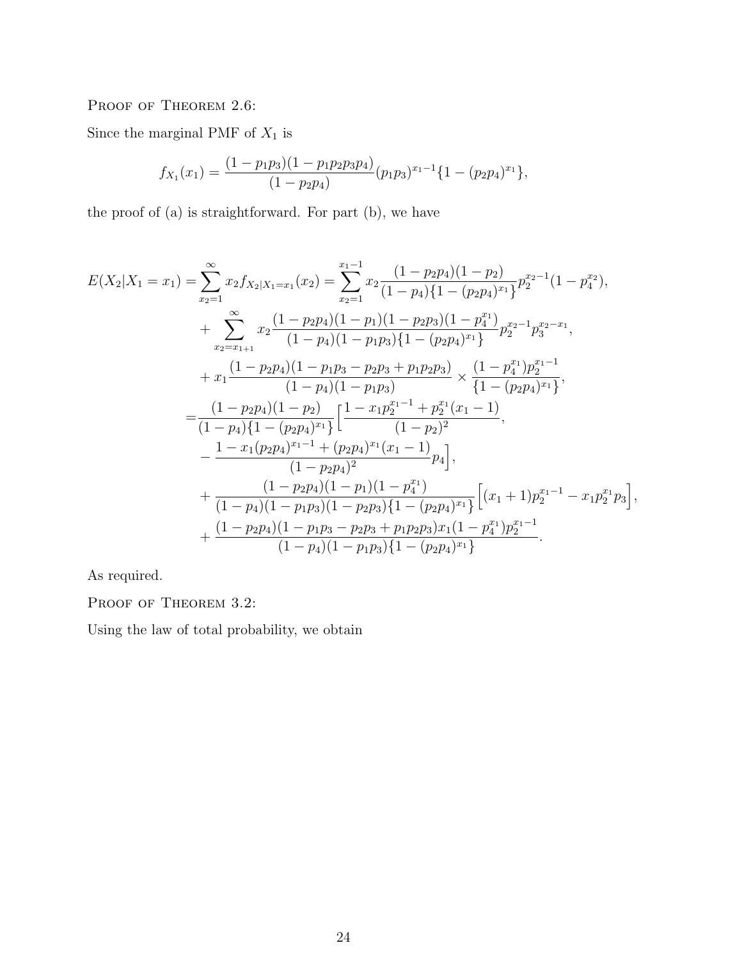PROOF OF THEOREM 2.6:

Since the marginal PMF of  $X_{\rm 1}$  is

$$
f_{X_1}(x_1) = \frac{(1 - p_1 p_3)(1 - p_1 p_2 p_3 p_4)}{(1 - p_2 p_4)} (p_1 p_3)^{x_1 - 1} \{1 - (p_2 p_4)^{x_1}\},
$$

the proof of (a) is straightforward. For part (b), we have

$$
E(X_2|X_1 = x_1) = \sum_{x_2=1}^{\infty} x_2 f_{X_2|X_1 = x_1}(x_2) = \sum_{x_2=1}^{x_1-1} x_2 \frac{(1-p_2p_4)(1-p_2)}{(1-p_4)\{1-(p_2p_4)^{x_1}\}} p_2^{x_2-1}(1-p_4^{x_2}),
$$
  
+ 
$$
\sum_{x_2=x_{1+1}}^{\infty} x_2 \frac{(1-p_2p_4)(1-p_1)(1-p_2p_3)(1-p_4^{x_1})}{(1-p_4)(1-p_1p_3)\{1-(p_2p_4)^{x_1}\}} p_2^{x_2-1} p_3^{x_2-x_1},
$$
  
+ 
$$
x_1 \frac{(1-p_2p_4)(1-p_1p_3-p_2p_3+p_1p_2p_3)}{(1-p_4)(1-p_1p_3)} \times \frac{(1-p_4^{x_1})p_2^{x_1-1}}{(1-(p_2p_4)^{x_1}\}},
$$
  
= 
$$
\frac{(1-p_2p_4)(1-p_2)}{(1-p_4)\{1-(p_2p_4)^{x_1}\}} \left[\frac{1-x_1p_2^{x_1-1}+p_2^{x_1}(x_1-1)}{(1-p_2)^2}\right],
$$
  
- 
$$
\frac{1-x_1(p_2p_4)^{x_1-1}+(p_2p_4)^{x_1}(x_1-1)}{(1-p_2p_4)^2} p_4,
$$
  
+ 
$$
\frac{(1-p_2p_4)(1-p_1)(1-p_4^{x_1})}{(1-p_4)(1-p_1p_3)(1-p_2p_3)\{1-(p_2p_4)^{x_1}\}} \left[(x_1+1)p_2^{x_1-1}-x_1p_2^{x_1}p_3\right],
$$
  
+ 
$$
\frac{(1-p_2p_4)(1-p_1p_3-p_2p_3+p_1p_2p_3)x_1(1-p_4^{x_1})p_2^{x_1-1}}{(1-p_4)(1-p_1p_3)\{1-(p_2p_4)^{x_1}\}}.
$$

As required.

PROOF OF THEOREM 3.2:

Using the law of total probability, we obtain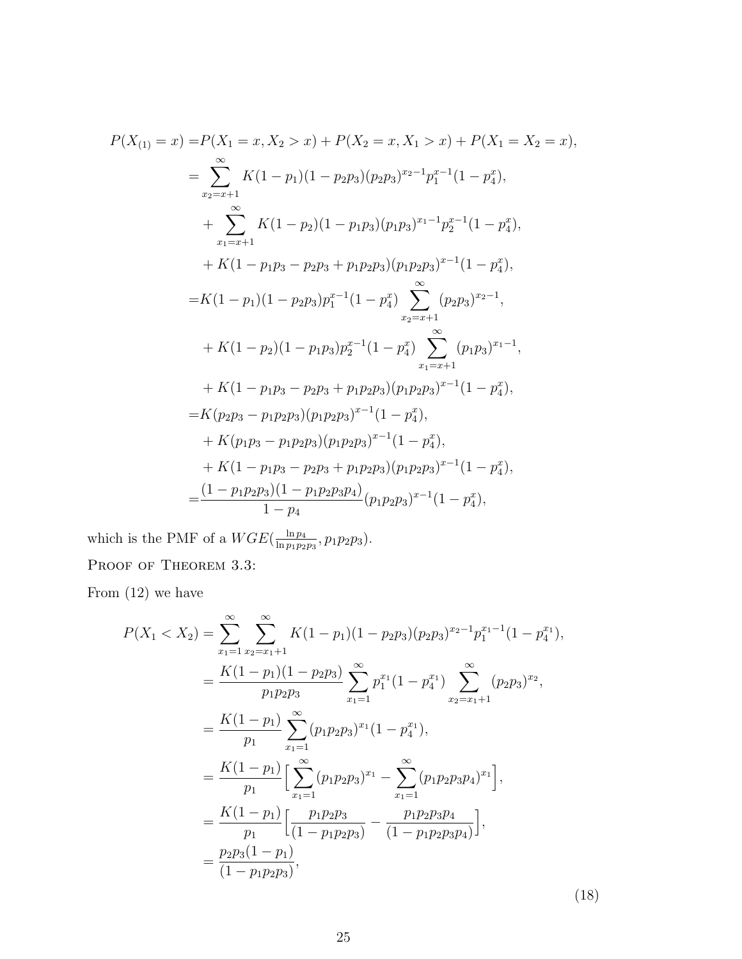$$
P(X_{(1)} = x) = P(X_1 = x, X_2 > x) + P(X_2 = x, X_1 > x) + P(X_1 = X_2 = x),
$$
  
\n
$$
= \sum_{x_2=x+1}^{\infty} K(1-p_1)(1-p_2p_3)(p_2p_3)^{x_2-1}p_1^{x-1}(1-p_4^x),
$$
  
\n
$$
+ \sum_{x_1=x+1}^{\infty} K(1-p_2)(1-p_1p_3)(p_1p_3)^{x_1-1}p_2^{x-1}(1-p_4^x),
$$
  
\n
$$
+ K(1-p_1p_3-p_2p_3+p_1p_2p_3)(p_1p_2p_3)^{x-1}(1-p_4^x),
$$
  
\n
$$
= K(1-p_1)(1-p_2p_3)p_1^{x-1}(1-p_4^x)\sum_{x_2=x+1}^{\infty} (p_2p_3)^{x_2-1},
$$
  
\n
$$
+ K(1-p_2)(1-p_1p_3)p_2^{x-1}(1-p_4^x)\sum_{x_1=x+1}^{\infty} (p_1p_3)^{x_1-1},
$$
  
\n
$$
+ K(1-p_1p_3-p_2p_3+p_1p_2p_3)(p_1p_2p_3)^{x-1}(1-p_4^x),
$$
  
\n
$$
= K(p_2p_3-p_1p_2p_3)(p_1p_2p_3)^{x-1}(1-p_4^x),
$$
  
\n
$$
+ K(1-p_1p_3-p_2p_3+p_1p_2p_3)(p_1p_2p_3)^{x-1}(1-p_4^x),
$$
  
\n
$$
+ K(1-p_1p_3-p_2p_3+p_1p_2p_3)(p_1p_2p_3)^{x-1}(1-p_4^x),
$$
  
\n
$$
= \frac{(1-p_1p_2p_3)(1-p_1p_2p_3p_4)}{1-p_4}(p_1p_2p_3)^{x-1}(1-p_4^x),
$$

which is the PMF of a  $WGE(\frac{\ln p_4}{\ln p_4})$  $\frac{\ln p_4}{\ln p_1 p_2 p_3}, p_1 p_2 p_3$ . PROOF OF THEOREM 3.3:

From (12) we have

$$
P(X_1 < X_2) = \sum_{x_1=1}^{\infty} \sum_{x_2=x_1+1}^{\infty} K(1-p_1)(1-p_2p_3)(p_2p_3)^{x_2-1}p_1^{x_1-1}(1-p_4^{x_1}),
$$
\n
$$
= \frac{K(1-p_1)(1-p_2p_3)}{p_1p_2p_3} \sum_{x_1=1}^{\infty} p_1^{x_1}(1-p_4^{x_1}) \sum_{x_2=x_1+1}^{\infty} (p_2p_3)^{x_2},
$$
\n
$$
= \frac{K(1-p_1)}{p_1} \sum_{x_1=1}^{\infty} (p_1p_2p_3)^{x_1}(1-p_4^{x_1}),
$$
\n
$$
= \frac{K(1-p_1)}{p_1} \Big[ \sum_{x_1=1}^{\infty} (p_1p_2p_3)^{x_1} - \sum_{x_1=1}^{\infty} (p_1p_2p_3p_4)^{x_1} \Big],
$$
\n
$$
= \frac{K(1-p_1)}{p_1} \Big[ \frac{p_1p_2p_3}{(1-p_1p_2p_3)} - \frac{p_1p_2p_3p_4}{(1-p_1p_2p_3p_4)} \Big],
$$
\n
$$
= \frac{p_2p_3(1-p_1)}{(1-p_1p_2p_3)},
$$

(18)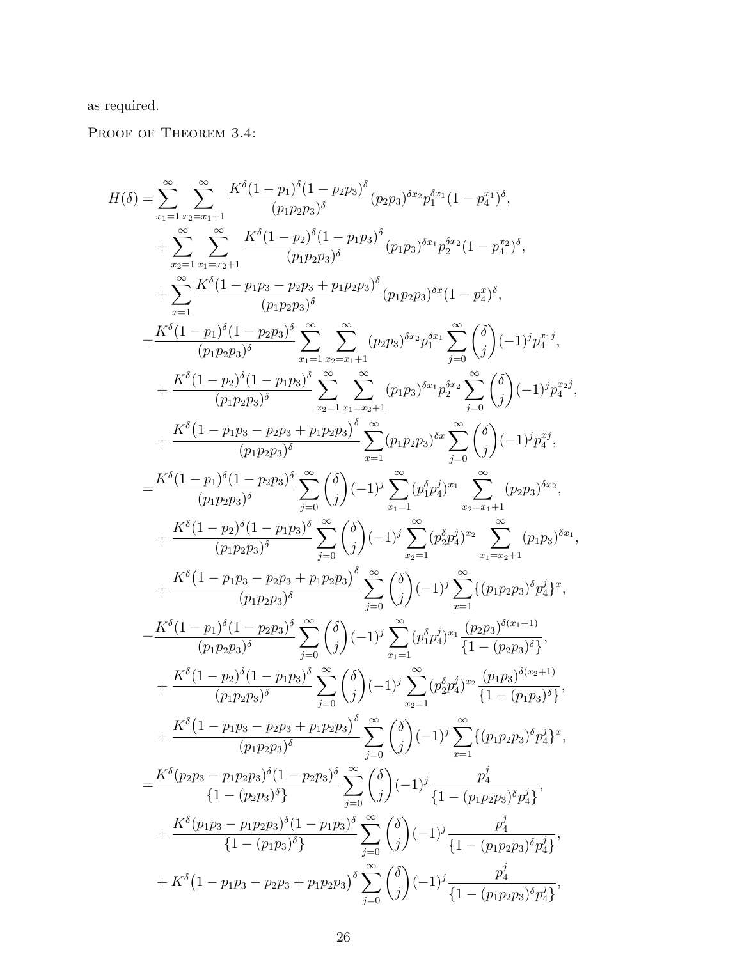as required.

PROOF OF THEOREM 3.4:

$$
H(\delta) = \sum_{x_1=1}^{\infty} \sum_{x_2=x_1+1}^{\infty} \frac{K^{\delta} (1-p_1)^{\delta} (1-p_2p_3)^{\delta}}{(p_1p_2p_3)^{\delta}} (p_2p_3)^{\delta x_2} p_1^{\delta x_1} (1-p_4^x)^{\delta},
$$
  
\n
$$
+ \sum_{x_2=1}^{\infty} \sum_{x_1=x_2+1}^{\infty} \frac{K^{\delta} (1-p_1)^{\delta} (1-p_1p_3)^{\delta}}{(p_1p_2p_3)^{\delta}} (p_1p_3)^{\delta x_1} p_2^{\delta x_2} (1-p_4^x)^{\delta},
$$
  
\n
$$
= \frac{K^{\delta} (1-p_1)^{\delta} (1-p_2p_3)^{\delta}}{(p_1p_2p_3)^{\delta}} \sum_{x_1=1}^{\infty} \sum_{x_2=x_1+1}^{\infty} (p_2p_3)^{\delta x_2} p_1^{\delta x_1} \sum_{j=0}^{\infty} {\delta \choose j} (-1)^j p_4^{x_1j},
$$
  
\n
$$
+ \frac{K^{\delta} (1-p_2)^{\delta} (1-p_2p_3)^{\delta}}{(p_1p_2p_3)^{\delta}} \sum_{x_2=1}^{\infty} \sum_{x_1=x_1+1}^{\infty} (p_2p_3)^{\delta x_2} p_2^{\delta x_1} \sum_{j=0}^{\infty} {\delta \choose j} (-1)^j p_4^{x_1j},
$$
  
\n
$$
+ \frac{K^{\delta} (1-p_2)^{\delta} (1-p_1p_3)^{\delta}}{(p_1p_2p_3)^{\delta}} \sum_{x_2=1}^{\infty} \sum_{x_1=x_1+1}^{\infty} (p_1p_2)^{\delta x_2} p_2^{\delta x_2} \sum_{j=0}^{\infty} {\delta \choose j} (-1)^j p_4^{x_1j},
$$
  
\n
$$
+ \frac{K^{\delta} (1-p_1)^{\delta} (1-p_2p_3)^{\delta}}{(p_1p_2p_3)^{\delta}} \sum_{j=0}^{\infty} {\delta \choose j} (-1)^j \sum_{x_1=1}^{\infty} (p_4^
$$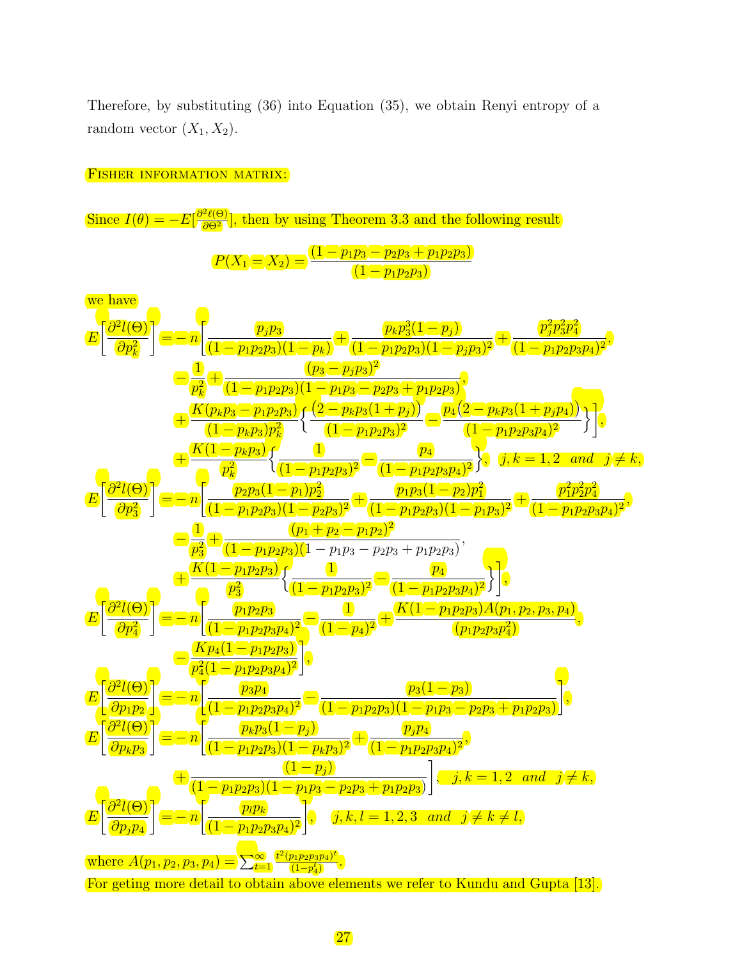Therefore, by substituting (36) into Equation (35), we obtain Renyi entropy of a random vector  $(X_1, X_2)$ .

#### FISHER INFORMATION MATRIX:

Since  $I(\theta) = -E\left[\frac{\partial^2 \ell(\Theta)}{\partial \Theta^2}\right]$  $\frac{2\ell(\Theta)}{\partial \Theta^2}$ , then by using Theorem 3.3 and the following result  $P(X_1 = X_2) = \frac{(1 - p_1 p_3 - p_2 p_3 + p_1 p_2 p_3)}{(1 - p_1 p_3 - p_2 p_3 + p_3 p_2 p_3)}$  $(1-p_1p_2p_3)$ we have E  $\lceil \partial^2 l(\Theta) \rceil$  $\partial p_k^2$ T  $= -n$  $p_j p_3$  $(1-p_1p_2p_3)(1-p_k)$  $+\frac{p_k p_3^3(1-p_j)}{2(1-p_k)}$  $\frac{P_{k}P_{3}(1-P_{1})}{(1-p_{1}p_{2}p_{3})(1-p_{j}p_{3})^{2}}+$  $p_j^2p_3^2p_4^2$  $\frac{r_{j}r_{3}r_{4}}{(1-p_{1}p_{2}p_{3}p_{4})^{2}},$ — <u>1</u>  $\frac{1}{p_k^2}+\frac{(p_3-p_jp_3)^2}{(1-p_1p_2p_3)(1-p_1p_3-p_3)}$ k  $(1-p_1p_2p_3)(1-p_1p_3-p_2p_3+p_1p_2p_3)$ ,  $+\frac{K(p_k p_3 - p_1 p_2 p_3)}{A}$  $\overline{(1-p_kp_3)p_k^2}$  $\int \frac{(2-p_k p_3(1+p_j))}{(p_2-p_k p_3p_4)}$  $\frac{(-p_kp_3(1+p_j))}{(1-p_1p_2p_3)^2}-\frac{p_4(2-p_kp_3(1+p_jp_4))}{(1-p_1p_2p_3p_4)^2}$  $(1-p_1p_2p_3p_4)^2$  $\prod_{i=1}^{n}$  $+\frac{K(1-p_kp_3)}{2}$  $p_k^2$  $\int$  1  $\frac{1}{(1-p_1p_2p_3)^2} - \frac{p_4}{(1-p_1p_2)}$  $(1-p_1p_2p_3p_4)^2$  $\left\{\right, \quad j,k=1,2 \quad and \quad j\neq k,$ E  $\lceil \partial^2 l(\Theta) \rceil$  $\partial p_3^2$ ד  $= -n$  $\sqrt{p_2p_3(1-p_1)p_2^2}$  $\frac{(p_2p_3(1-p_1)p_2^2)}{(1-p_1p_2p_3)(1-p_2p_3)^2}+\frac{p_1p_3(1-p_2)p_1^2}{(1-p_1p_2p_3)(1-p_2p_3)}$  $\frac{p_1p_3(1-p_2p_1)}{(1-p_1p_2p_3)(1-p_1p_3)^2} +$  $p_1^2p_2^2p_4^2$  $\frac{P_1P_2P_4}{(1-p_1p_2p_3p_4)^2}$  $-\frac{1}{4}$  $\frac{(p_1+p_2-p_1p_2)^2}{(1-p_1p_2p_3)(1-p_1p_3-p_2p_4)}$ 3  $\left(1-p_1p_2p_3\right)\left(1-p_1p_3-p_2p_3+p_1p_2p_3\right)$ ,  $+\frac{K(1-p_1p_2p_3)}{2}$  $\frac{\left(p_1p_2p_3\right)}{p_3^2} \Big\{\frac{1}{(1-p_1)^2}\Big\}$ 3  $\frac{1}{(1-p_1p_2p_3)^2} - \frac{p_4}{(1-p_1p_2)}$  $(1-p_1p_2p_3p_4)^2$  $\big\}$ , E  $\lceil \partial^2 l(\Theta) \rceil$  $\partial p_4^2$ ד  $= -n$  $\int$   $p_1p_2p_3$  $\frac{(p_1p_2p_3)}{(1-p_1p_2p_3p_4)^2}$   $\frac{1}{(1-p_1p_2p_3p_4)^2}$  $\frac{(1 \; -p_1p_2p_3)A(p_1,p_2,p_3,p_4)}{(p_1p_2p_3p_4^2)}$  $\left(p_1p_2p_3p_4^2\right)$ ,  $-\frac{Kp_4(1-p_1p_2p_3)}{2(1-p_1p_2p_3)}$  $p_4^2 (1-p_1 p_2 p_3 p_4)^2$ 4 1 , E  $\lceil \partial^2 l(\Theta) \rceil$  $\partial p_1p_2$ ד  $= -n$  $\int$   $\frac{p_3p_4}{p_3p_4}$  $\frac{(p_3p_4)}{(1-p_1p_2p_3p_4)^2}-\frac{p_3(1-p_3)}{(1-p_1p_2p_3)(1-p_1p_3-p_3)}$  $(1-p_1p_2p_3)(1-p_1p_3-p_2p_3+p_1p_2p_3)$ 1 , E  $\lceil \frac{\partial^2 l(\Theta)}{\partial \Theta} \rceil$  $\partial p_kp_3$ T  $= -n$  $p_k p_3(1-p_j)$  $\frac{(p_k p_3 (1-p_j)}{(1-p_1 p_2 p_3)(1-p_k p_3)^2}+\frac{p_j p_4}{(1-p_1 p_2 p_4 p_4 p_5)^2}$  $\frac{p_{1}p_{4}}{(1-p_{1}p_{2}p_{3}p_{4})^{2}},$  $+\frac{1}{2}$  $(1-p_1p_2p_3)(1-p_1p_3-p_2p_3+p_1p_2p_3)$ 1 ,  $j, k = 1, 2$  and  $j \neq k$ , E  $\lceil \partial^2 l(\Theta) \rceil$  $\overline{\partial p_jp_4}$ T  $= -n$  $\int$   $p_l p_k$  $(1-p_1p_2p_3p_4)^2$ 1  $j, k, l = 1, 2, 3 \text{ and } j \neq k \neq l,$ where  $A(p_1, p_2, p_3, p_4) = \sum_{t=1}^{\infty}$  $t^2(p_1p_2p_3p_4)^t$  $\frac{\frac{p_1p_2p_3p_4)^c}{(1-p_4^t)}}{$ For geting more detail to obtain above elements we refer to Kundu and Gupta [13].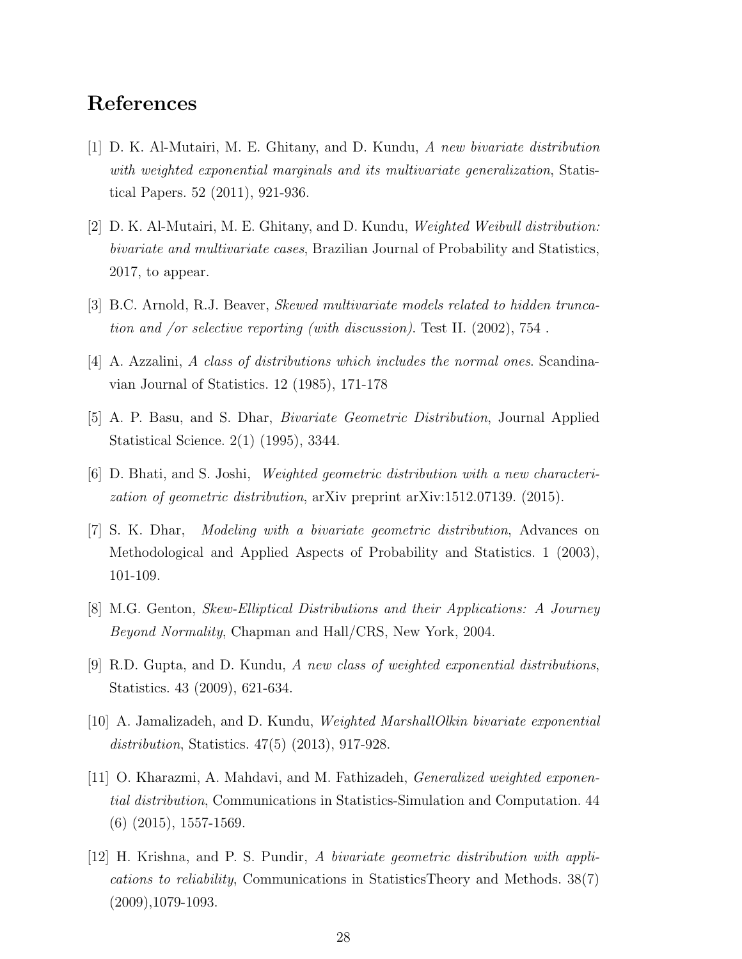# References

- [1] D. K. Al-Mutairi, M. E. Ghitany, and D. Kundu, A new bivariate distribution with weighted exponential marginals and its multivariate generalization, Statistical Papers. 52 (2011), 921-936.
- [2] D. K. Al-Mutairi, M. E. Ghitany, and D. Kundu, Weighted Weibull distribution: bivariate and multivariate cases, Brazilian Journal of Probability and Statistics, 2017, to appear.
- [3] B.C. Arnold, R.J. Beaver, Skewed multivariate models related to hidden truncation and /or selective reporting (with discussion). Test II. (2002), 754 .
- [4] A. Azzalini, A class of distributions which includes the normal ones. Scandinavian Journal of Statistics. 12 (1985), 171-178
- [5] A. P. Basu, and S. Dhar, Bivariate Geometric Distribution, Journal Applied Statistical Science. 2(1) (1995), 3344.
- [6] D. Bhati, and S. Joshi, Weighted geometric distribution with a new characterization of geometric distribution, arXiv preprint arXiv:1512.07139. (2015).
- [7] S. K. Dhar, Modeling with a bivariate geometric distribution, Advances on Methodological and Applied Aspects of Probability and Statistics. 1 (2003), 101-109.
- [8] M.G. Genton, Skew-Elliptical Distributions and their Applications: A Journey Beyond Normality, Chapman and Hall/CRS, New York, 2004.
- [9] R.D. Gupta, and D. Kundu, A new class of weighted exponential distributions, Statistics. 43 (2009), 621-634.
- [10] A. Jamalizadeh, and D. Kundu, Weighted MarshallOlkin bivariate exponential distribution, Statistics. 47(5) (2013), 917-928.
- [11] O. Kharazmi, A. Mahdavi, and M. Fathizadeh, Generalized weighted exponential distribution, Communications in Statistics-Simulation and Computation. 44 (6) (2015), 1557-1569.
- [12] H. Krishna, and P. S. Pundir, A bivariate geometric distribution with applications to reliability, Communications in StatisticsTheory and Methods. 38(7) (2009),1079-1093.